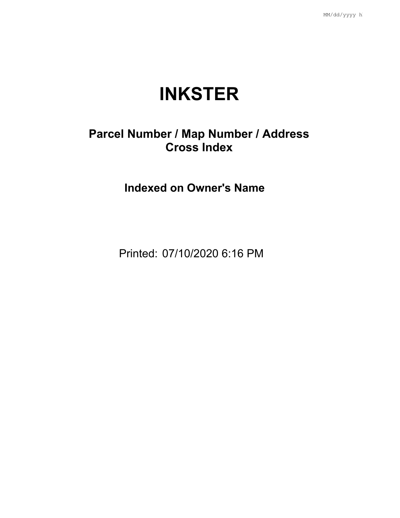## **INKSTER**

## **Parcel Number / Map Number / Address Cross Index**

**Indexed on Owner's Name**

Printed: 07/10/2020 6:16 PM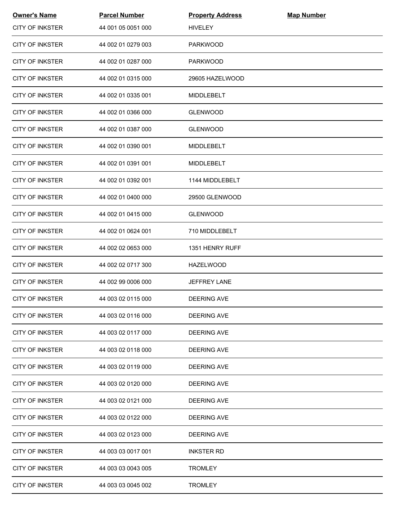| <b>Owner's Name</b>    | <b>Parcel Number</b> | <b>Property Address</b> | <b>Map Number</b> |  |
|------------------------|----------------------|-------------------------|-------------------|--|
| <b>CITY OF INKSTER</b> | 44 001 05 0051 000   | <b>HIVELEY</b>          |                   |  |
| <b>CITY OF INKSTER</b> | 44 002 01 0279 003   | <b>PARKWOOD</b>         |                   |  |
| <b>CITY OF INKSTER</b> | 44 002 01 0287 000   | <b>PARKWOOD</b>         |                   |  |
| <b>CITY OF INKSTER</b> | 44 002 01 0315 000   | 29605 HAZELWOOD         |                   |  |
| <b>CITY OF INKSTER</b> | 44 002 01 0335 001   | <b>MIDDLEBELT</b>       |                   |  |
| <b>CITY OF INKSTER</b> | 44 002 01 0366 000   | <b>GLENWOOD</b>         |                   |  |
| CITY OF INKSTER        | 44 002 01 0387 000   | <b>GLENWOOD</b>         |                   |  |
| <b>CITY OF INKSTER</b> | 44 002 01 0390 001   | <b>MIDDLEBELT</b>       |                   |  |
| <b>CITY OF INKSTER</b> | 44 002 01 0391 001   | <b>MIDDLEBELT</b>       |                   |  |
| <b>CITY OF INKSTER</b> | 44 002 01 0392 001   | 1144 MIDDLEBELT         |                   |  |
| <b>CITY OF INKSTER</b> | 44 002 01 0400 000   | 29500 GLENWOOD          |                   |  |
| <b>CITY OF INKSTER</b> | 44 002 01 0415 000   | <b>GLENWOOD</b>         |                   |  |
| <b>CITY OF INKSTER</b> | 44 002 01 0624 001   | 710 MIDDLEBELT          |                   |  |
| <b>CITY OF INKSTER</b> | 44 002 02 0653 000   | 1351 HENRY RUFF         |                   |  |
| <b>CITY OF INKSTER</b> | 44 002 02 0717 300   | <b>HAZELWOOD</b>        |                   |  |
| <b>CITY OF INKSTER</b> | 44 002 99 0006 000   | <b>JEFFREY LANE</b>     |                   |  |
| <b>CITY OF INKSTER</b> | 44 003 02 0115 000   | <b>DEERING AVE</b>      |                   |  |
| <b>CITY OF INKSTER</b> | 44 003 02 0116 000   | <b>DEERING AVE</b>      |                   |  |
| <b>CITY OF INKSTER</b> | 44 003 02 0117 000   | <b>DEERING AVE</b>      |                   |  |
| <b>CITY OF INKSTER</b> | 44 003 02 0118 000   | <b>DEERING AVE</b>      |                   |  |
| <b>CITY OF INKSTER</b> | 44 003 02 0119 000   | <b>DEERING AVE</b>      |                   |  |
| <b>CITY OF INKSTER</b> | 44 003 02 0120 000   | <b>DEERING AVE</b>      |                   |  |
| <b>CITY OF INKSTER</b> | 44 003 02 0121 000   | <b>DEERING AVE</b>      |                   |  |
| <b>CITY OF INKSTER</b> | 44 003 02 0122 000   | DEERING AVE             |                   |  |
| <b>CITY OF INKSTER</b> | 44 003 02 0123 000   | <b>DEERING AVE</b>      |                   |  |
| <b>CITY OF INKSTER</b> | 44 003 03 0017 001   | <b>INKSTER RD</b>       |                   |  |
| <b>CITY OF INKSTER</b> | 44 003 03 0043 005   | <b>TROMLEY</b>          |                   |  |
| <b>CITY OF INKSTER</b> | 44 003 03 0045 002   | <b>TROMLEY</b>          |                   |  |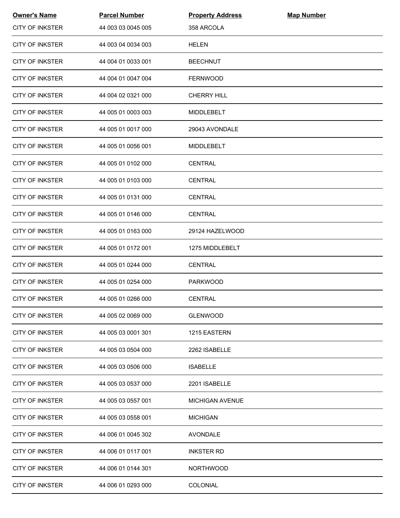| <b>Owner's Name</b>    | <b>Parcel Number</b> | <b>Property Address</b> | <b>Map Number</b> |  |
|------------------------|----------------------|-------------------------|-------------------|--|
| <b>CITY OF INKSTER</b> | 44 003 03 0045 005   | 358 ARCOLA              |                   |  |
| <b>CITY OF INKSTER</b> | 44 003 04 0034 003   | <b>HELEN</b>            |                   |  |
| <b>CITY OF INKSTER</b> | 44 004 01 0033 001   | <b>BEECHNUT</b>         |                   |  |
| <b>CITY OF INKSTER</b> | 44 004 01 0047 004   | <b>FERNWOOD</b>         |                   |  |
| <b>CITY OF INKSTER</b> | 44 004 02 0321 000   | <b>CHERRY HILL</b>      |                   |  |
| <b>CITY OF INKSTER</b> | 44 005 01 0003 003   | <b>MIDDLEBELT</b>       |                   |  |
| CITY OF INKSTER        | 44 005 01 0017 000   | 29043 AVONDALE          |                   |  |
| <b>CITY OF INKSTER</b> | 44 005 01 0056 001   | MIDDLEBELT              |                   |  |
| <b>CITY OF INKSTER</b> | 44 005 01 0102 000   | <b>CENTRAL</b>          |                   |  |
| <b>CITY OF INKSTER</b> | 44 005 01 0103 000   | <b>CENTRAL</b>          |                   |  |
| <b>CITY OF INKSTER</b> | 44 005 01 0131 000   | <b>CENTRAL</b>          |                   |  |
| <b>CITY OF INKSTER</b> | 44 005 01 0146 000   | <b>CENTRAL</b>          |                   |  |
| <b>CITY OF INKSTER</b> | 44 005 01 0163 000   | 29124 HAZELWOOD         |                   |  |
| <b>CITY OF INKSTER</b> | 44 005 01 0172 001   | 1275 MIDDLEBELT         |                   |  |
| <b>CITY OF INKSTER</b> | 44 005 01 0244 000   | <b>CENTRAL</b>          |                   |  |
| <b>CITY OF INKSTER</b> | 44 005 01 0254 000   | <b>PARKWOOD</b>         |                   |  |
| <b>CITY OF INKSTER</b> | 44 005 01 0266 000   | <b>CENTRAL</b>          |                   |  |
| <b>CITY OF INKSTER</b> | 44 005 02 0069 000   | <b>GLENWOOD</b>         |                   |  |
| <b>CITY OF INKSTER</b> | 44 005 03 0001 301   | 1215 EASTERN            |                   |  |
| <b>CITY OF INKSTER</b> | 44 005 03 0504 000   | 2262 ISABELLE           |                   |  |
| <b>CITY OF INKSTER</b> | 44 005 03 0506 000   | <b>ISABELLE</b>         |                   |  |
| <b>CITY OF INKSTER</b> | 44 005 03 0537 000   | 2201 ISABELLE           |                   |  |
| <b>CITY OF INKSTER</b> | 44 005 03 0557 001   | <b>MICHIGAN AVENUE</b>  |                   |  |
| <b>CITY OF INKSTER</b> | 44 005 03 0558 001   | <b>MICHIGAN</b>         |                   |  |
| <b>CITY OF INKSTER</b> | 44 006 01 0045 302   | <b>AVONDALE</b>         |                   |  |
| <b>CITY OF INKSTER</b> | 44 006 01 0117 001   | <b>INKSTER RD</b>       |                   |  |
| <b>CITY OF INKSTER</b> | 44 006 01 0144 301   | <b>NORTHWOOD</b>        |                   |  |
| <b>CITY OF INKSTER</b> | 44 006 01 0293 000   | <b>COLONIAL</b>         |                   |  |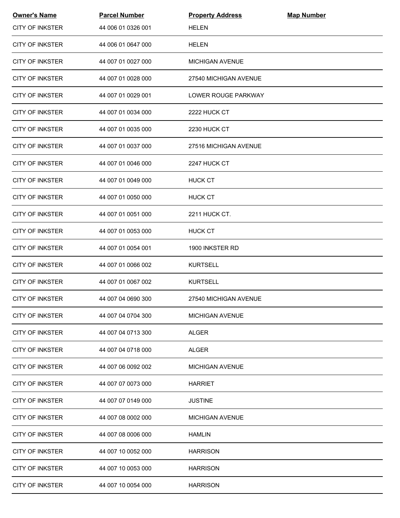| <b>Owner's Name</b>    | <b>Parcel Number</b> | <b>Property Address</b> | <b>Map Number</b> |
|------------------------|----------------------|-------------------------|-------------------|
| <b>CITY OF INKSTER</b> | 44 006 01 0326 001   | <b>HELEN</b>            |                   |
| <b>CITY OF INKSTER</b> | 44 006 01 0647 000   | <b>HELEN</b>            |                   |
| <b>CITY OF INKSTER</b> | 44 007 01 0027 000   | <b>MICHIGAN AVENUE</b>  |                   |
| <b>CITY OF INKSTER</b> | 44 007 01 0028 000   | 27540 MICHIGAN AVENUE   |                   |
| <b>CITY OF INKSTER</b> | 44 007 01 0029 001   | LOWER ROUGE PARKWAY     |                   |
| <b>CITY OF INKSTER</b> | 44 007 01 0034 000   | 2222 HUCK CT            |                   |
| <b>CITY OF INKSTER</b> | 44 007 01 0035 000   | 2230 HUCK CT            |                   |
| <b>CITY OF INKSTER</b> | 44 007 01 0037 000   | 27516 MICHIGAN AVENUE   |                   |
| <b>CITY OF INKSTER</b> | 44 007 01 0046 000   | 2247 HUCK CT            |                   |
| <b>CITY OF INKSTER</b> | 44 007 01 0049 000   | <b>HUCK CT</b>          |                   |
| <b>CITY OF INKSTER</b> | 44 007 01 0050 000   | <b>HUCK CT</b>          |                   |
| <b>CITY OF INKSTER</b> | 44 007 01 0051 000   | <b>2211 HUCK CT.</b>    |                   |
| <b>CITY OF INKSTER</b> | 44 007 01 0053 000   | <b>HUCK CT</b>          |                   |
| <b>CITY OF INKSTER</b> | 44 007 01 0054 001   | 1900 INKSTER RD         |                   |
| <b>CITY OF INKSTER</b> | 44 007 01 0066 002   | <b>KURTSELL</b>         |                   |
| <b>CITY OF INKSTER</b> | 44 007 01 0067 002   | <b>KURTSELL</b>         |                   |
| <b>CITY OF INKSTER</b> | 44 007 04 0690 300   | 27540 MICHIGAN AVENUE   |                   |
| <b>CITY OF INKSTER</b> | 44 007 04 0704 300   | <b>MICHIGAN AVENUE</b>  |                   |
| <b>CITY OF INKSTER</b> | 44 007 04 0713 300   | <b>ALGER</b>            |                   |
| <b>CITY OF INKSTER</b> | 44 007 04 0718 000   | <b>ALGER</b>            |                   |
| <b>CITY OF INKSTER</b> | 44 007 06 0092 002   | <b>MICHIGAN AVENUE</b>  |                   |
| <b>CITY OF INKSTER</b> | 44 007 07 0073 000   | <b>HARRIET</b>          |                   |
| <b>CITY OF INKSTER</b> | 44 007 07 0149 000   | <b>JUSTINE</b>          |                   |
| <b>CITY OF INKSTER</b> | 44 007 08 0002 000   | <b>MICHIGAN AVENUE</b>  |                   |
| <b>CITY OF INKSTER</b> | 44 007 08 0006 000   | <b>HAMLIN</b>           |                   |
| <b>CITY OF INKSTER</b> | 44 007 10 0052 000   | <b>HARRISON</b>         |                   |
| <b>CITY OF INKSTER</b> | 44 007 10 0053 000   | <b>HARRISON</b>         |                   |
| <b>CITY OF INKSTER</b> | 44 007 10 0054 000   | <b>HARRISON</b>         |                   |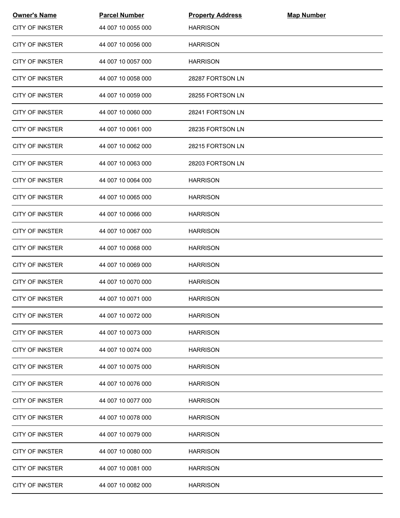| <b>Owner's Name</b>    | <b>Parcel Number</b> | <b>Property Address</b> | <b>Map Number</b> |  |
|------------------------|----------------------|-------------------------|-------------------|--|
| <b>CITY OF INKSTER</b> | 44 007 10 0055 000   | <b>HARRISON</b>         |                   |  |
| <b>CITY OF INKSTER</b> | 44 007 10 0056 000   | <b>HARRISON</b>         |                   |  |
| <b>CITY OF INKSTER</b> | 44 007 10 0057 000   | <b>HARRISON</b>         |                   |  |
| <b>CITY OF INKSTER</b> | 44 007 10 0058 000   | 28287 FORTSON LN        |                   |  |
| <b>CITY OF INKSTER</b> | 44 007 10 0059 000   | 28255 FORTSON LN        |                   |  |
| <b>CITY OF INKSTER</b> | 44 007 10 0060 000   | 28241 FORTSON LN        |                   |  |
| <b>CITY OF INKSTER</b> | 44 007 10 0061 000   | 28235 FORTSON LN        |                   |  |
| <b>CITY OF INKSTER</b> | 44 007 10 0062 000   | 28215 FORTSON LN        |                   |  |
| <b>CITY OF INKSTER</b> | 44 007 10 0063 000   | 28203 FORTSON LN        |                   |  |
| <b>CITY OF INKSTER</b> | 44 007 10 0064 000   | <b>HARRISON</b>         |                   |  |
| <b>CITY OF INKSTER</b> | 44 007 10 0065 000   | <b>HARRISON</b>         |                   |  |
| <b>CITY OF INKSTER</b> | 44 007 10 0066 000   | <b>HARRISON</b>         |                   |  |
| <b>CITY OF INKSTER</b> | 44 007 10 0067 000   | <b>HARRISON</b>         |                   |  |
| <b>CITY OF INKSTER</b> | 44 007 10 0068 000   | <b>HARRISON</b>         |                   |  |
| <b>CITY OF INKSTER</b> | 44 007 10 0069 000   | <b>HARRISON</b>         |                   |  |
| <b>CITY OF INKSTER</b> | 44 007 10 0070 000   | <b>HARRISON</b>         |                   |  |
| <b>CITY OF INKSTER</b> | 44 007 10 0071 000   | <b>HARRISON</b>         |                   |  |
| <b>CITY OF INKSTER</b> | 44 007 10 0072 000   | <b>HARRISON</b>         |                   |  |
| <b>CITY OF INKSTER</b> | 44 007 10 0073 000   | <b>HARRISON</b>         |                   |  |
| <b>CITY OF INKSTER</b> | 44 007 10 0074 000   | <b>HARRISON</b>         |                   |  |
| <b>CITY OF INKSTER</b> | 44 007 10 0075 000   | <b>HARRISON</b>         |                   |  |
| <b>CITY OF INKSTER</b> | 44 007 10 0076 000   | <b>HARRISON</b>         |                   |  |
| CITY OF INKSTER        | 44 007 10 0077 000   | <b>HARRISON</b>         |                   |  |
| <b>CITY OF INKSTER</b> | 44 007 10 0078 000   | <b>HARRISON</b>         |                   |  |
| <b>CITY OF INKSTER</b> | 44 007 10 0079 000   | <b>HARRISON</b>         |                   |  |
| <b>CITY OF INKSTER</b> | 44 007 10 0080 000   | <b>HARRISON</b>         |                   |  |
| <b>CITY OF INKSTER</b> | 44 007 10 0081 000   | <b>HARRISON</b>         |                   |  |
| <b>CITY OF INKSTER</b> | 44 007 10 0082 000   | <b>HARRISON</b>         |                   |  |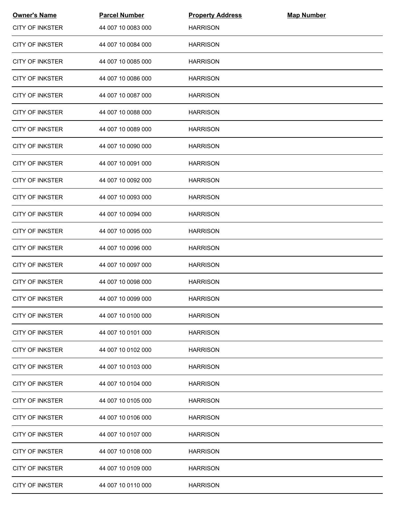| <b>Owner's Name</b>    | <b>Parcel Number</b> | <b>Property Address</b> | <b>Map Number</b> |  |
|------------------------|----------------------|-------------------------|-------------------|--|
| <b>CITY OF INKSTER</b> | 44 007 10 0083 000   | <b>HARRISON</b>         |                   |  |
| <b>CITY OF INKSTER</b> | 44 007 10 0084 000   | <b>HARRISON</b>         |                   |  |
| <b>CITY OF INKSTER</b> | 44 007 10 0085 000   | <b>HARRISON</b>         |                   |  |
| <b>CITY OF INKSTER</b> | 44 007 10 0086 000   | <b>HARRISON</b>         |                   |  |
| <b>CITY OF INKSTER</b> | 44 007 10 0087 000   | <b>HARRISON</b>         |                   |  |
| <b>CITY OF INKSTER</b> | 44 007 10 0088 000   | <b>HARRISON</b>         |                   |  |
| CITY OF INKSTER        | 44 007 10 0089 000   | <b>HARRISON</b>         |                   |  |
| <b>CITY OF INKSTER</b> | 44 007 10 0090 000   | <b>HARRISON</b>         |                   |  |
| <b>CITY OF INKSTER</b> | 44 007 10 0091 000   | <b>HARRISON</b>         |                   |  |
| <b>CITY OF INKSTER</b> | 44 007 10 0092 000   | <b>HARRISON</b>         |                   |  |
| <b>CITY OF INKSTER</b> | 44 007 10 0093 000   | <b>HARRISON</b>         |                   |  |
| <b>CITY OF INKSTER</b> | 44 007 10 0094 000   | <b>HARRISON</b>         |                   |  |
| <b>CITY OF INKSTER</b> | 44 007 10 0095 000   | <b>HARRISON</b>         |                   |  |
| <b>CITY OF INKSTER</b> | 44 007 10 0096 000   | <b>HARRISON</b>         |                   |  |
| <b>CITY OF INKSTER</b> | 44 007 10 0097 000   | <b>HARRISON</b>         |                   |  |
| <b>CITY OF INKSTER</b> | 44 007 10 0098 000   | <b>HARRISON</b>         |                   |  |
| <b>CITY OF INKSTER</b> | 44 007 10 0099 000   | <b>HARRISON</b>         |                   |  |
| <b>CITY OF INKSTER</b> | 44 007 10 0100 000   | <b>HARRISON</b>         |                   |  |
| <b>CITY OF INKSTER</b> | 44 007 10 0101 000   | <b>HARRISON</b>         |                   |  |
| <b>CITY OF INKSTER</b> | 44 007 10 0102 000   | <b>HARRISON</b>         |                   |  |
| <b>CITY OF INKSTER</b> | 44 007 10 0103 000   | <b>HARRISON</b>         |                   |  |
| <b>CITY OF INKSTER</b> | 44 007 10 0104 000   | <b>HARRISON</b>         |                   |  |
| <b>CITY OF INKSTER</b> | 44 007 10 0105 000   | <b>HARRISON</b>         |                   |  |
| <b>CITY OF INKSTER</b> | 44 007 10 0106 000   | <b>HARRISON</b>         |                   |  |
| <b>CITY OF INKSTER</b> | 44 007 10 0107 000   | <b>HARRISON</b>         |                   |  |
| <b>CITY OF INKSTER</b> | 44 007 10 0108 000   | <b>HARRISON</b>         |                   |  |
| <b>CITY OF INKSTER</b> | 44 007 10 0109 000   | <b>HARRISON</b>         |                   |  |
| <b>CITY OF INKSTER</b> | 44 007 10 0110 000   | <b>HARRISON</b>         |                   |  |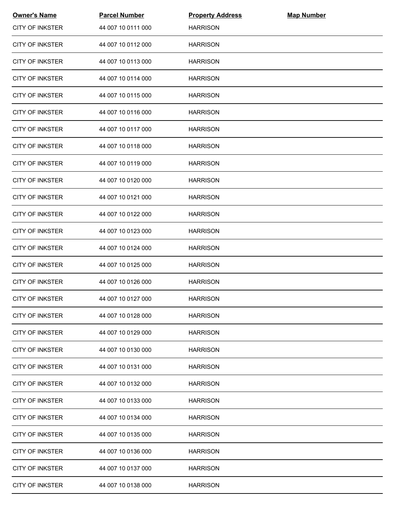| <b>Owner's Name</b>    | <b>Parcel Number</b> | <b>Property Address</b> | <b>Map Number</b> |  |
|------------------------|----------------------|-------------------------|-------------------|--|
| <b>CITY OF INKSTER</b> | 44 007 10 0111 000   | <b>HARRISON</b>         |                   |  |
| <b>CITY OF INKSTER</b> | 44 007 10 0112 000   | <b>HARRISON</b>         |                   |  |
| <b>CITY OF INKSTER</b> | 44 007 10 0113 000   | <b>HARRISON</b>         |                   |  |
| <b>CITY OF INKSTER</b> | 44 007 10 0114 000   | <b>HARRISON</b>         |                   |  |
| <b>CITY OF INKSTER</b> | 44 007 10 0115 000   | <b>HARRISON</b>         |                   |  |
| <b>CITY OF INKSTER</b> | 44 007 10 0116 000   | <b>HARRISON</b>         |                   |  |
| <b>CITY OF INKSTER</b> | 44 007 10 0117 000   | <b>HARRISON</b>         |                   |  |
| <b>CITY OF INKSTER</b> | 44 007 10 0118 000   | <b>HARRISON</b>         |                   |  |
| <b>CITY OF INKSTER</b> | 44 007 10 0119 000   | <b>HARRISON</b>         |                   |  |
| <b>CITY OF INKSTER</b> | 44 007 10 0120 000   | <b>HARRISON</b>         |                   |  |
| <b>CITY OF INKSTER</b> | 44 007 10 0121 000   | <b>HARRISON</b>         |                   |  |
| <b>CITY OF INKSTER</b> | 44 007 10 0122 000   | <b>HARRISON</b>         |                   |  |
| <b>CITY OF INKSTER</b> | 44 007 10 0123 000   | <b>HARRISON</b>         |                   |  |
| <b>CITY OF INKSTER</b> | 44 007 10 0124 000   | <b>HARRISON</b>         |                   |  |
| <b>CITY OF INKSTER</b> | 44 007 10 0125 000   | <b>HARRISON</b>         |                   |  |
| <b>CITY OF INKSTER</b> | 44 007 10 0126 000   | <b>HARRISON</b>         |                   |  |
| <b>CITY OF INKSTER</b> | 44 007 10 0127 000   | <b>HARRISON</b>         |                   |  |
| <b>CITY OF INKSTER</b> | 44 007 10 0128 000   | <b>HARRISON</b>         |                   |  |
| CITY OF INKSTER        | 44 007 10 0129 000   | <b>HARRISON</b>         |                   |  |
| <b>CITY OF INKSTER</b> | 44 007 10 0130 000   | <b>HARRISON</b>         |                   |  |
| <b>CITY OF INKSTER</b> | 44 007 10 0131 000   | <b>HARRISON</b>         |                   |  |
| <b>CITY OF INKSTER</b> | 44 007 10 0132 000   | <b>HARRISON</b>         |                   |  |
| <b>CITY OF INKSTER</b> | 44 007 10 0133 000   | <b>HARRISON</b>         |                   |  |
| <b>CITY OF INKSTER</b> | 44 007 10 0134 000   | <b>HARRISON</b>         |                   |  |
| <b>CITY OF INKSTER</b> | 44 007 10 0135 000   | <b>HARRISON</b>         |                   |  |
| <b>CITY OF INKSTER</b> | 44 007 10 0136 000   | <b>HARRISON</b>         |                   |  |
| <b>CITY OF INKSTER</b> | 44 007 10 0137 000   | <b>HARRISON</b>         |                   |  |
| <b>CITY OF INKSTER</b> | 44 007 10 0138 000   | <b>HARRISON</b>         |                   |  |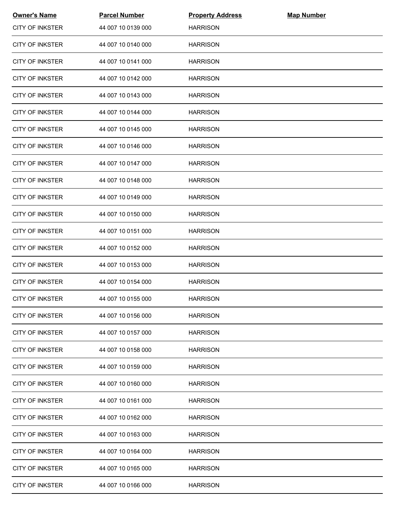| <b>Owner's Name</b>    | <b>Parcel Number</b> | <b>Property Address</b> | <b>Map Number</b> |  |
|------------------------|----------------------|-------------------------|-------------------|--|
| <b>CITY OF INKSTER</b> | 44 007 10 0139 000   | <b>HARRISON</b>         |                   |  |
| <b>CITY OF INKSTER</b> | 44 007 10 0140 000   | <b>HARRISON</b>         |                   |  |
| <b>CITY OF INKSTER</b> | 44 007 10 0141 000   | <b>HARRISON</b>         |                   |  |
| <b>CITY OF INKSTER</b> | 44 007 10 0142 000   | <b>HARRISON</b>         |                   |  |
| <b>CITY OF INKSTER</b> | 44 007 10 0143 000   | <b>HARRISON</b>         |                   |  |
| <b>CITY OF INKSTER</b> | 44 007 10 0144 000   | <b>HARRISON</b>         |                   |  |
| <b>CITY OF INKSTER</b> | 44 007 10 0145 000   | <b>HARRISON</b>         |                   |  |
| <b>CITY OF INKSTER</b> | 44 007 10 0146 000   | <b>HARRISON</b>         |                   |  |
| CITY OF INKSTER        | 44 007 10 0147 000   | <b>HARRISON</b>         |                   |  |
| <b>CITY OF INKSTER</b> | 44 007 10 0148 000   | <b>HARRISON</b>         |                   |  |
| <b>CITY OF INKSTER</b> | 44 007 10 0149 000   | <b>HARRISON</b>         |                   |  |
| <b>CITY OF INKSTER</b> | 44 007 10 0150 000   | <b>HARRISON</b>         |                   |  |
| <b>CITY OF INKSTER</b> | 44 007 10 0151 000   | <b>HARRISON</b>         |                   |  |
| <b>CITY OF INKSTER</b> | 44 007 10 0152 000   | <b>HARRISON</b>         |                   |  |
| <b>CITY OF INKSTER</b> | 44 007 10 0153 000   | <b>HARRISON</b>         |                   |  |
| <b>CITY OF INKSTER</b> | 44 007 10 0154 000   | <b>HARRISON</b>         |                   |  |
| <b>CITY OF INKSTER</b> | 44 007 10 0155 000   | <b>HARRISON</b>         |                   |  |
| <b>CITY OF INKSTER</b> | 44 007 10 0156 000   | <b>HARRISON</b>         |                   |  |
| <b>CITY OF INKSTER</b> | 44 007 10 0157 000   | <b>HARRISON</b>         |                   |  |
| <b>CITY OF INKSTER</b> | 44 007 10 0158 000   | <b>HARRISON</b>         |                   |  |
| <b>CITY OF INKSTER</b> | 44 007 10 0159 000   | <b>HARRISON</b>         |                   |  |
| <b>CITY OF INKSTER</b> | 44 007 10 0160 000   | <b>HARRISON</b>         |                   |  |
| <b>CITY OF INKSTER</b> | 44 007 10 0161 000   | <b>HARRISON</b>         |                   |  |
| <b>CITY OF INKSTER</b> | 44 007 10 0162 000   | <b>HARRISON</b>         |                   |  |
| <b>CITY OF INKSTER</b> | 44 007 10 0163 000   | <b>HARRISON</b>         |                   |  |
| <b>CITY OF INKSTER</b> | 44 007 10 0164 000   | <b>HARRISON</b>         |                   |  |
| <b>CITY OF INKSTER</b> | 44 007 10 0165 000   | <b>HARRISON</b>         |                   |  |
| <b>CITY OF INKSTER</b> | 44 007 10 0166 000   | <b>HARRISON</b>         |                   |  |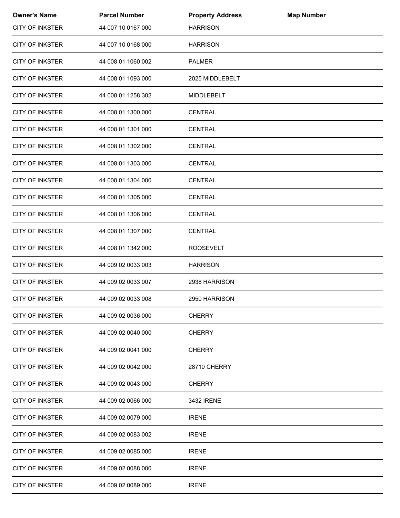| <b>Owner's Name</b>    | <b>Parcel Number</b> | <b>Property Address</b> | <b>Map Number</b> |  |
|------------------------|----------------------|-------------------------|-------------------|--|
| <b>CITY OF INKSTER</b> | 44 007 10 0167 000   | <b>HARRISON</b>         |                   |  |
| <b>CITY OF INKSTER</b> | 44 007 10 0168 000   | <b>HARRISON</b>         |                   |  |
| <b>CITY OF INKSTER</b> | 44 008 01 1060 002   | <b>PALMER</b>           |                   |  |
| <b>CITY OF INKSTER</b> | 44 008 01 1093 000   | 2025 MIDDLEBELT         |                   |  |
| <b>CITY OF INKSTER</b> | 44 008 01 1258 302   | MIDDLEBELT              |                   |  |
| <b>CITY OF INKSTER</b> | 44 008 01 1300 000   | <b>CENTRAL</b>          |                   |  |
| <b>CITY OF INKSTER</b> | 44 008 01 1301 000   | <b>CENTRAL</b>          |                   |  |
| <b>CITY OF INKSTER</b> | 44 008 01 1302 000   | <b>CENTRAL</b>          |                   |  |
| CITY OF INKSTER        | 44 008 01 1303 000   | <b>CENTRAL</b>          |                   |  |
| <b>CITY OF INKSTER</b> | 44 008 01 1304 000   | <b>CENTRAL</b>          |                   |  |
| <b>CITY OF INKSTER</b> | 44 008 01 1305 000   | <b>CENTRAL</b>          |                   |  |
| <b>CITY OF INKSTER</b> | 44 008 01 1306 000   | <b>CENTRAL</b>          |                   |  |
| <b>CITY OF INKSTER</b> | 44 008 01 1307 000   | <b>CENTRAL</b>          |                   |  |
| <b>CITY OF INKSTER</b> | 44 008 01 1342 000   | <b>ROOSEVELT</b>        |                   |  |
| <b>CITY OF INKSTER</b> | 44 009 02 0033 003   | <b>HARRISON</b>         |                   |  |
| <b>CITY OF INKSTER</b> | 44 009 02 0033 007   | 2938 HARRISON           |                   |  |
| <b>CITY OF INKSTER</b> | 44 009 02 0033 008   | 2950 HARRISON           |                   |  |
| <b>CITY OF INKSTER</b> | 44 009 02 0036 000   | <b>CHERRY</b>           |                   |  |
| <b>CITY OF INKSTER</b> | 44 009 02 0040 000   | <b>CHERRY</b>           |                   |  |
| <b>CITY OF INKSTER</b> | 44 009 02 0041 000   | <b>CHERRY</b>           |                   |  |
| <b>CITY OF INKSTER</b> | 44 009 02 0042 000   | <b>28710 CHERRY</b>     |                   |  |
| <b>CITY OF INKSTER</b> | 44 009 02 0043 000   | <b>CHERRY</b>           |                   |  |
| <b>CITY OF INKSTER</b> | 44 009 02 0066 000   | 3432 IRENE              |                   |  |
| <b>CITY OF INKSTER</b> | 44 009 02 0079 000   | <b>IRENE</b>            |                   |  |
| <b>CITY OF INKSTER</b> | 44 009 02 0083 002   | <b>IRENE</b>            |                   |  |
| <b>CITY OF INKSTER</b> | 44 009 02 0085 000   | <b>IRENE</b>            |                   |  |
| <b>CITY OF INKSTER</b> | 44 009 02 0088 000   | <b>IRENE</b>            |                   |  |
| <b>CITY OF INKSTER</b> | 44 009 02 0089 000   | <b>IRENE</b>            |                   |  |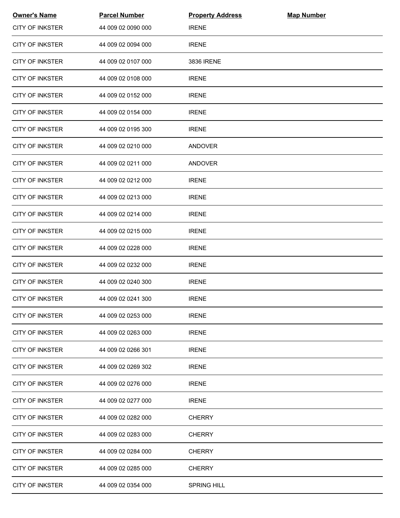| <b>Owner's Name</b>    | <b>Parcel Number</b> | <b>Property Address</b> | <b>Map Number</b> |  |
|------------------------|----------------------|-------------------------|-------------------|--|
| <b>CITY OF INKSTER</b> | 44 009 02 0090 000   | <b>IRENE</b>            |                   |  |
| <b>CITY OF INKSTER</b> | 44 009 02 0094 000   | <b>IRENE</b>            |                   |  |
| <b>CITY OF INKSTER</b> | 44 009 02 0107 000   | 3836 IRENE              |                   |  |
| <b>CITY OF INKSTER</b> | 44 009 02 0108 000   | <b>IRENE</b>            |                   |  |
| <b>CITY OF INKSTER</b> | 44 009 02 0152 000   | <b>IRENE</b>            |                   |  |
| <b>CITY OF INKSTER</b> | 44 009 02 0154 000   | <b>IRENE</b>            |                   |  |
| CITY OF INKSTER        | 44 009 02 0195 300   | <b>IRENE</b>            |                   |  |
| <b>CITY OF INKSTER</b> | 44 009 02 0210 000   | ANDOVER                 |                   |  |
| <b>CITY OF INKSTER</b> | 44 009 02 0211 000   | <b>ANDOVER</b>          |                   |  |
| <b>CITY OF INKSTER</b> | 44 009 02 0212 000   | <b>IRENE</b>            |                   |  |
| <b>CITY OF INKSTER</b> | 44 009 02 0213 000   | <b>IRENE</b>            |                   |  |
| <b>CITY OF INKSTER</b> | 44 009 02 0214 000   | <b>IRENE</b>            |                   |  |
| <b>CITY OF INKSTER</b> | 44 009 02 0215 000   | <b>IRENE</b>            |                   |  |
| <b>CITY OF INKSTER</b> | 44 009 02 0228 000   | <b>IRENE</b>            |                   |  |
| <b>CITY OF INKSTER</b> | 44 009 02 0232 000   | <b>IRENE</b>            |                   |  |
| <b>CITY OF INKSTER</b> | 44 009 02 0240 300   | <b>IRENE</b>            |                   |  |
| <b>CITY OF INKSTER</b> | 44 009 02 0241 300   | <b>IRENE</b>            |                   |  |
| <b>CITY OF INKSTER</b> | 44 009 02 0253 000   | <b>IRENE</b>            |                   |  |
| <b>CITY OF INKSTER</b> | 44 009 02 0263 000   | <b>IRENE</b>            |                   |  |
| <b>CITY OF INKSTER</b> | 44 009 02 0266 301   | <b>IRENE</b>            |                   |  |
| <b>CITY OF INKSTER</b> | 44 009 02 0269 302   | <b>IRENE</b>            |                   |  |
| <b>CITY OF INKSTER</b> | 44 009 02 0276 000   | <b>IRENE</b>            |                   |  |
| <b>CITY OF INKSTER</b> | 44 009 02 0277 000   | <b>IRENE</b>            |                   |  |
| <b>CITY OF INKSTER</b> | 44 009 02 0282 000   | <b>CHERRY</b>           |                   |  |
| <b>CITY OF INKSTER</b> | 44 009 02 0283 000   | <b>CHERRY</b>           |                   |  |
| <b>CITY OF INKSTER</b> | 44 009 02 0284 000   | <b>CHERRY</b>           |                   |  |
| <b>CITY OF INKSTER</b> | 44 009 02 0285 000   | <b>CHERRY</b>           |                   |  |
| <b>CITY OF INKSTER</b> | 44 009 02 0354 000   | <b>SPRING HILL</b>      |                   |  |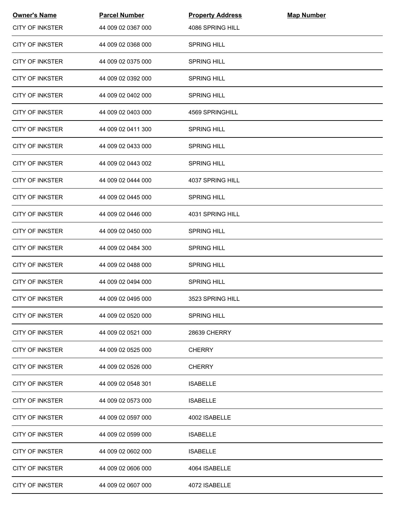| <b>Owner's Name</b>    | <b>Parcel Number</b> | <b>Property Address</b> | <b>Map Number</b> |  |
|------------------------|----------------------|-------------------------|-------------------|--|
| <b>CITY OF INKSTER</b> | 44 009 02 0367 000   | 4086 SPRING HILL        |                   |  |
| <b>CITY OF INKSTER</b> | 44 009 02 0368 000   | <b>SPRING HILL</b>      |                   |  |
| <b>CITY OF INKSTER</b> | 44 009 02 0375 000   | <b>SPRING HILL</b>      |                   |  |
| <b>CITY OF INKSTER</b> | 44 009 02 0392 000   | <b>SPRING HILL</b>      |                   |  |
| <b>CITY OF INKSTER</b> | 44 009 02 0402 000   | <b>SPRING HILL</b>      |                   |  |
| <b>CITY OF INKSTER</b> | 44 009 02 0403 000   | 4569 SPRINGHILL         |                   |  |
| <b>CITY OF INKSTER</b> | 44 009 02 0411 300   | <b>SPRING HILL</b>      |                   |  |
| <b>CITY OF INKSTER</b> | 44 009 02 0433 000   | <b>SPRING HILL</b>      |                   |  |
| <b>CITY OF INKSTER</b> | 44 009 02 0443 002   | <b>SPRING HILL</b>      |                   |  |
| <b>CITY OF INKSTER</b> | 44 009 02 0444 000   | 4037 SPRING HILL        |                   |  |
| <b>CITY OF INKSTER</b> | 44 009 02 0445 000   | <b>SPRING HILL</b>      |                   |  |
| <b>CITY OF INKSTER</b> | 44 009 02 0446 000   | 4031 SPRING HILL        |                   |  |
| <b>CITY OF INKSTER</b> | 44 009 02 0450 000   | <b>SPRING HILL</b>      |                   |  |
| <b>CITY OF INKSTER</b> | 44 009 02 0484 300   | <b>SPRING HILL</b>      |                   |  |
| <b>CITY OF INKSTER</b> | 44 009 02 0488 000   | <b>SPRING HILL</b>      |                   |  |
| <b>CITY OF INKSTER</b> | 44 009 02 0494 000   | <b>SPRING HILL</b>      |                   |  |
| <b>CITY OF INKSTER</b> | 44 009 02 0495 000   | 3523 SPRING HILL        |                   |  |
| <b>CITY OF INKSTER</b> | 44 009 02 0520 000   | <b>SPRING HILL</b>      |                   |  |
| <b>CITY OF INKSTER</b> | 44 009 02 0521 000   | <b>28639 CHERRY</b>     |                   |  |
| <b>CITY OF INKSTER</b> | 44 009 02 0525 000   | <b>CHERRY</b>           |                   |  |
| <b>CITY OF INKSTER</b> | 44 009 02 0526 000   | <b>CHERRY</b>           |                   |  |
| <b>CITY OF INKSTER</b> | 44 009 02 0548 301   | <b>ISABELLE</b>         |                   |  |
| CITY OF INKSTER        | 44 009 02 0573 000   | <b>ISABELLE</b>         |                   |  |
| <b>CITY OF INKSTER</b> | 44 009 02 0597 000   | 4002 ISABELLE           |                   |  |
| <b>CITY OF INKSTER</b> | 44 009 02 0599 000   | <b>ISABELLE</b>         |                   |  |
| <b>CITY OF INKSTER</b> | 44 009 02 0602 000   | <b>ISABELLE</b>         |                   |  |
| <b>CITY OF INKSTER</b> | 44 009 02 0606 000   | 4064 ISABELLE           |                   |  |
| <b>CITY OF INKSTER</b> | 44 009 02 0607 000   | 4072 ISABELLE           |                   |  |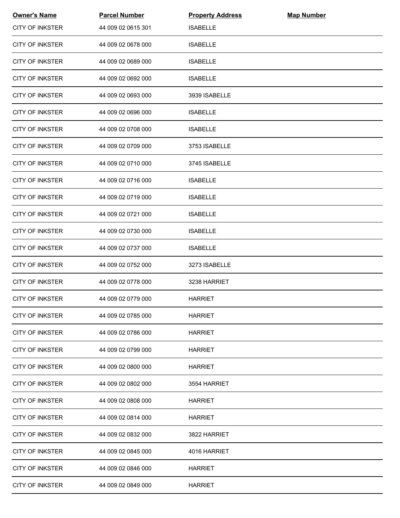| <b>Owner's Name</b>    | <b>Parcel Number</b> | <b>Property Address</b> | <b>Map Number</b> |  |
|------------------------|----------------------|-------------------------|-------------------|--|
| <b>CITY OF INKSTER</b> | 44 009 02 0615 301   | <b>ISABELLE</b>         |                   |  |
| <b>CITY OF INKSTER</b> | 44 009 02 0678 000   | <b>ISABELLE</b>         |                   |  |
| <b>CITY OF INKSTER</b> | 44 009 02 0689 000   | <b>ISABELLE</b>         |                   |  |
| <b>CITY OF INKSTER</b> | 44 009 02 0692 000   | <b>ISABELLE</b>         |                   |  |
| <b>CITY OF INKSTER</b> | 44 009 02 0693 000   | 3939 ISABELLE           |                   |  |
| <b>CITY OF INKSTER</b> | 44 009 02 0696 000   | <b>ISABELLE</b>         |                   |  |
| <b>CITY OF INKSTER</b> | 44 009 02 0708 000   | <b>ISABELLE</b>         |                   |  |
| <b>CITY OF INKSTER</b> | 44 009 02 0709 000   | 3753 ISABELLE           |                   |  |
| <b>CITY OF INKSTER</b> | 44 009 02 0710 000   | 3745 ISABELLE           |                   |  |
| <b>CITY OF INKSTER</b> | 44 009 02 0716 000   | <b>ISABELLE</b>         |                   |  |
| <b>CITY OF INKSTER</b> | 44 009 02 0719 000   | <b>ISABELLE</b>         |                   |  |
| <b>CITY OF INKSTER</b> | 44 009 02 0721 000   | <b>ISABELLE</b>         |                   |  |
| <b>CITY OF INKSTER</b> | 44 009 02 0730 000   | <b>ISABELLE</b>         |                   |  |
| <b>CITY OF INKSTER</b> | 44 009 02 0737 000   | <b>ISABELLE</b>         |                   |  |
| <b>CITY OF INKSTER</b> | 44 009 02 0752 000   | 3273 ISABELLE           |                   |  |
| <b>CITY OF INKSTER</b> | 44 009 02 0778 000   | 3238 HARRIET            |                   |  |
| <b>CITY OF INKSTER</b> | 44 009 02 0779 000   | <b>HARRIET</b>          |                   |  |
| <b>CITY OF INKSTER</b> | 44 009 02 0785 000   | <b>HARRIET</b>          |                   |  |
| <b>CITY OF INKSTER</b> | 44 009 02 0786 000   | <b>HARRIET</b>          |                   |  |
| <b>CITY OF INKSTER</b> | 44 009 02 0799 000   | <b>HARRIET</b>          |                   |  |
| <b>CITY OF INKSTER</b> | 44 009 02 0800 000   | <b>HARRIET</b>          |                   |  |
| <b>CITY OF INKSTER</b> | 44 009 02 0802 000   | 3554 HARRIET            |                   |  |
| CITY OF INKSTER        | 44 009 02 0808 000   | <b>HARRIET</b>          |                   |  |
| <b>CITY OF INKSTER</b> | 44 009 02 0814 000   | <b>HARRIET</b>          |                   |  |
| <b>CITY OF INKSTER</b> | 44 009 02 0832 000   | 3822 HARRIET            |                   |  |
| <b>CITY OF INKSTER</b> | 44 009 02 0845 000   | 4016 HARRIET            |                   |  |
| <b>CITY OF INKSTER</b> | 44 009 02 0846 000   | <b>HARRIET</b>          |                   |  |
| <b>CITY OF INKSTER</b> | 44 009 02 0849 000   | <b>HARRIET</b>          |                   |  |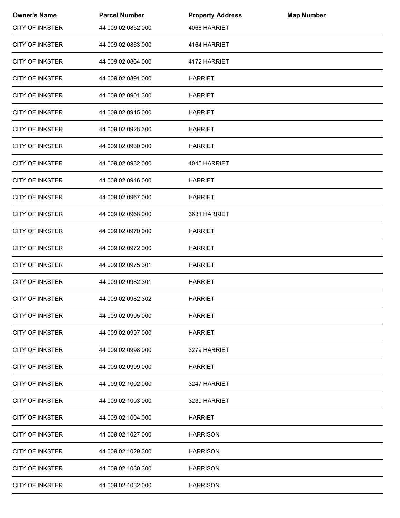| <b>Owner's Name</b>    | <b>Parcel Number</b> | <b>Property Address</b> | <b>Map Number</b> |  |
|------------------------|----------------------|-------------------------|-------------------|--|
| <b>CITY OF INKSTER</b> | 44 009 02 0852 000   | 4068 HARRIET            |                   |  |
| <b>CITY OF INKSTER</b> | 44 009 02 0863 000   | 4164 HARRIET            |                   |  |
| <b>CITY OF INKSTER</b> | 44 009 02 0864 000   | 4172 HARRIET            |                   |  |
| <b>CITY OF INKSTER</b> | 44 009 02 0891 000   | <b>HARRIET</b>          |                   |  |
| <b>CITY OF INKSTER</b> | 44 009 02 0901 300   | <b>HARRIET</b>          |                   |  |
| <b>CITY OF INKSTER</b> | 44 009 02 0915 000   | <b>HARRIET</b>          |                   |  |
| <b>CITY OF INKSTER</b> | 44 009 02 0928 300   | <b>HARRIET</b>          |                   |  |
| <b>CITY OF INKSTER</b> | 44 009 02 0930 000   | <b>HARRIET</b>          |                   |  |
| <b>CITY OF INKSTER</b> | 44 009 02 0932 000   | 4045 HARRIET            |                   |  |
| <b>CITY OF INKSTER</b> | 44 009 02 0946 000   | <b>HARRIET</b>          |                   |  |
| <b>CITY OF INKSTER</b> | 44 009 02 0967 000   | <b>HARRIET</b>          |                   |  |
| <b>CITY OF INKSTER</b> | 44 009 02 0968 000   | 3631 HARRIET            |                   |  |
| <b>CITY OF INKSTER</b> | 44 009 02 0970 000   | <b>HARRIET</b>          |                   |  |
| <b>CITY OF INKSTER</b> | 44 009 02 0972 000   | <b>HARRIET</b>          |                   |  |
| <b>CITY OF INKSTER</b> | 44 009 02 0975 301   | <b>HARRIET</b>          |                   |  |
| <b>CITY OF INKSTER</b> | 44 009 02 0982 301   | <b>HARRIET</b>          |                   |  |
| <b>CITY OF INKSTER</b> | 44 009 02 0982 302   | <b>HARRIET</b>          |                   |  |
| <b>CITY OF INKSTER</b> | 44 009 02 0995 000   | <b>HARRIET</b>          |                   |  |
| <b>CITY OF INKSTER</b> | 44 009 02 0997 000   | <b>HARRIET</b>          |                   |  |
| <b>CITY OF INKSTER</b> | 44 009 02 0998 000   | 3279 HARRIET            |                   |  |
| <b>CITY OF INKSTER</b> | 44 009 02 0999 000   | <b>HARRIET</b>          |                   |  |
| <b>CITY OF INKSTER</b> | 44 009 02 1002 000   | 3247 HARRIET            |                   |  |
| CITY OF INKSTER        | 44 009 02 1003 000   | 3239 HARRIET            |                   |  |
| <b>CITY OF INKSTER</b> | 44 009 02 1004 000   | <b>HARRIET</b>          |                   |  |
| <b>CITY OF INKSTER</b> | 44 009 02 1027 000   | <b>HARRISON</b>         |                   |  |
| <b>CITY OF INKSTER</b> | 44 009 02 1029 300   | <b>HARRISON</b>         |                   |  |
| <b>CITY OF INKSTER</b> | 44 009 02 1030 300   | <b>HARRISON</b>         |                   |  |
| <b>CITY OF INKSTER</b> | 44 009 02 1032 000   | <b>HARRISON</b>         |                   |  |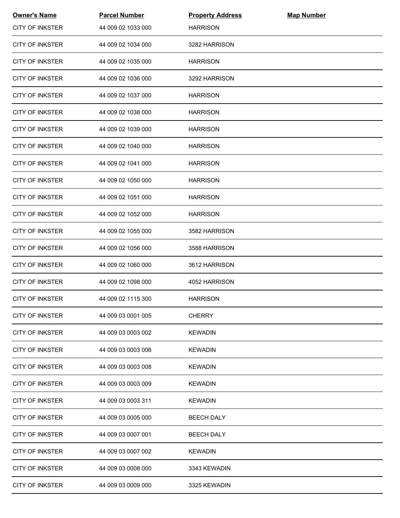| <b>Owner's Name</b>    | <b>Parcel Number</b> | <b>Property Address</b> | <b>Map Number</b> |  |
|------------------------|----------------------|-------------------------|-------------------|--|
| <b>CITY OF INKSTER</b> | 44 009 02 1033 000   | <b>HARRISON</b>         |                   |  |
| <b>CITY OF INKSTER</b> | 44 009 02 1034 000   | 3282 HARRISON           |                   |  |
| <b>CITY OF INKSTER</b> | 44 009 02 1035 000   | <b>HARRISON</b>         |                   |  |
| <b>CITY OF INKSTER</b> | 44 009 02 1036 000   | 3292 HARRISON           |                   |  |
| <b>CITY OF INKSTER</b> | 44 009 02 1037 000   | <b>HARRISON</b>         |                   |  |
| <b>CITY OF INKSTER</b> | 44 009 02 1038 000   | <b>HARRISON</b>         |                   |  |
| <b>CITY OF INKSTER</b> | 44 009 02 1039 000   | <b>HARRISON</b>         |                   |  |
| <b>CITY OF INKSTER</b> | 44 009 02 1040 000   | <b>HARRISON</b>         |                   |  |
| <b>CITY OF INKSTER</b> | 44 009 02 1041 000   | <b>HARRISON</b>         |                   |  |
| <b>CITY OF INKSTER</b> | 44 009 02 1050 000   | <b>HARRISON</b>         |                   |  |
| <b>CITY OF INKSTER</b> | 44 009 02 1051 000   | <b>HARRISON</b>         |                   |  |
| <b>CITY OF INKSTER</b> | 44 009 02 1052 000   | <b>HARRISON</b>         |                   |  |
| <b>CITY OF INKSTER</b> | 44 009 02 1055 000   | 3582 HARRISON           |                   |  |
| <b>CITY OF INKSTER</b> | 44 009 02 1056 000   | 3588 HARRISON           |                   |  |
| <b>CITY OF INKSTER</b> | 44 009 02 1060 000   | 3612 HARRISON           |                   |  |
| <b>CITY OF INKSTER</b> | 44 009 02 1098 000   | 4052 HARRISON           |                   |  |
| <b>CITY OF INKSTER</b> | 44 009 02 1115 300   | <b>HARRISON</b>         |                   |  |
| <b>CITY OF INKSTER</b> | 44 009 03 0001 005   | <b>CHERRY</b>           |                   |  |
| <b>CITY OF INKSTER</b> | 44 009 03 0003 002   | <b>KEWADIN</b>          |                   |  |
| <b>CITY OF INKSTER</b> | 44 009 03 0003 006   | <b>KEWADIN</b>          |                   |  |
| <b>CITY OF INKSTER</b> | 44 009 03 0003 008   | <b>KEWADIN</b>          |                   |  |
| <b>CITY OF INKSTER</b> | 44 009 03 0003 009   | <b>KEWADIN</b>          |                   |  |
| <b>CITY OF INKSTER</b> | 44 009 03 0003 311   | <b>KEWADIN</b>          |                   |  |
| <b>CITY OF INKSTER</b> | 44 009 03 0005 000   | <b>BEECH DALY</b>       |                   |  |
| <b>CITY OF INKSTER</b> | 44 009 03 0007 001   | <b>BEECH DALY</b>       |                   |  |
| <b>CITY OF INKSTER</b> | 44 009 03 0007 002   | <b>KEWADIN</b>          |                   |  |
| <b>CITY OF INKSTER</b> | 44 009 03 0008 000   | 3343 KEWADIN            |                   |  |
| <b>CITY OF INKSTER</b> | 44 009 03 0009 000   | 3325 KEWADIN            |                   |  |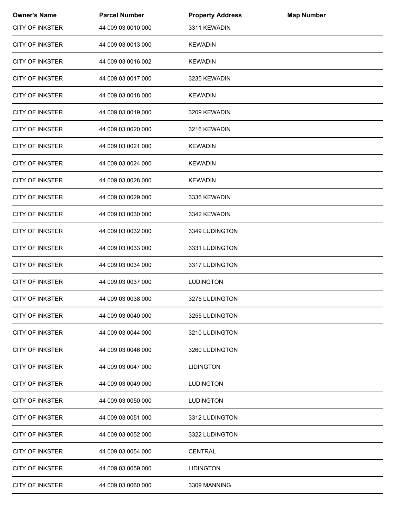| <b>Owner's Name</b>    | <b>Parcel Number</b> | <b>Property Address</b> | <b>Map Number</b> |  |
|------------------------|----------------------|-------------------------|-------------------|--|
| <b>CITY OF INKSTER</b> | 44 009 03 0010 000   | 3311 KEWADIN            |                   |  |
| <b>CITY OF INKSTER</b> | 44 009 03 0013 000   | <b>KEWADIN</b>          |                   |  |
| <b>CITY OF INKSTER</b> | 44 009 03 0016 002   | <b>KEWADIN</b>          |                   |  |
| <b>CITY OF INKSTER</b> | 44 009 03 0017 000   | 3235 KEWADIN            |                   |  |
| <b>CITY OF INKSTER</b> | 44 009 03 0018 000   | <b>KEWADIN</b>          |                   |  |
| <b>CITY OF INKSTER</b> | 44 009 03 0019 000   | 3209 KEWADIN            |                   |  |
| <b>CITY OF INKSTER</b> | 44 009 03 0020 000   | 3216 KEWADIN            |                   |  |
| <b>CITY OF INKSTER</b> | 44 009 03 0021 000   | <b>KEWADIN</b>          |                   |  |
| <b>CITY OF INKSTER</b> | 44 009 03 0024 000   | <b>KEWADIN</b>          |                   |  |
| <b>CITY OF INKSTER</b> | 44 009 03 0028 000   | <b>KEWADIN</b>          |                   |  |
| <b>CITY OF INKSTER</b> | 44 009 03 0029 000   | 3336 KEWADIN            |                   |  |
| <b>CITY OF INKSTER</b> | 44 009 03 0030 000   | 3342 KEWADIN            |                   |  |
| <b>CITY OF INKSTER</b> | 44 009 03 0032 000   | 3349 LUDINGTON          |                   |  |
| <b>CITY OF INKSTER</b> | 44 009 03 0033 000   | 3331 LUDINGTON          |                   |  |
| <b>CITY OF INKSTER</b> | 44 009 03 0034 000   | 3317 LUDINGTON          |                   |  |
| <b>CITY OF INKSTER</b> | 44 009 03 0037 000   | <b>LUDINGTON</b>        |                   |  |
| <b>CITY OF INKSTER</b> | 44 009 03 0038 000   | 3275 LUDINGTON          |                   |  |
| <b>CITY OF INKSTER</b> | 44 009 03 0040 000   | 3255 LUDINGTON          |                   |  |
| <b>CITY OF INKSTER</b> | 44 009 03 0044 000   | 3210 LUDINGTON          |                   |  |
| <b>CITY OF INKSTER</b> | 44 009 03 0046 000   | 3260 LUDINGTON          |                   |  |
| <b>CITY OF INKSTER</b> | 44 009 03 0047 000   | <b>LIDINGTON</b>        |                   |  |
| <b>CITY OF INKSTER</b> | 44 009 03 0049 000   | <b>LUDINGTON</b>        |                   |  |
| CITY OF INKSTER        | 44 009 03 0050 000   | <b>LUDINGTON</b>        |                   |  |
| <b>CITY OF INKSTER</b> | 44 009 03 0051 000   | 3312 LUDINGTON          |                   |  |
| <b>CITY OF INKSTER</b> | 44 009 03 0052 000   | 3322 LUDINGTON          |                   |  |
| <b>CITY OF INKSTER</b> | 44 009 03 0054 000   | <b>CENTRAL</b>          |                   |  |
| <b>CITY OF INKSTER</b> | 44 009 03 0059 000   | <b>LIDINGTON</b>        |                   |  |
| <b>CITY OF INKSTER</b> | 44 009 03 0060 000   | 3309 MANNING            |                   |  |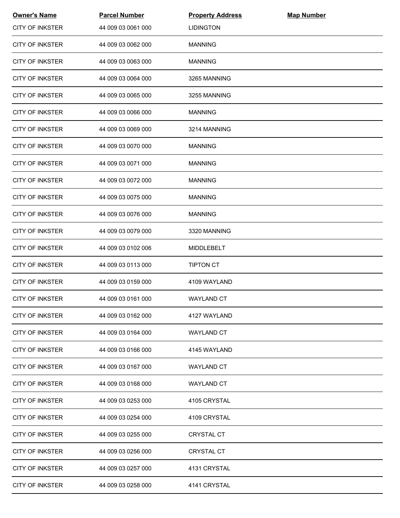| <b>Owner's Name</b>    | <b>Parcel Number</b> | <b>Property Address</b> | <b>Map Number</b> |  |
|------------------------|----------------------|-------------------------|-------------------|--|
| <b>CITY OF INKSTER</b> | 44 009 03 0061 000   | <b>LIDINGTON</b>        |                   |  |
| <b>CITY OF INKSTER</b> | 44 009 03 0062 000   | <b>MANNING</b>          |                   |  |
| <b>CITY OF INKSTER</b> | 44 009 03 0063 000   | <b>MANNING</b>          |                   |  |
| <b>CITY OF INKSTER</b> | 44 009 03 0064 000   | 3265 MANNING            |                   |  |
| <b>CITY OF INKSTER</b> | 44 009 03 0065 000   | 3255 MANNING            |                   |  |
| <b>CITY OF INKSTER</b> | 44 009 03 0066 000   | <b>MANNING</b>          |                   |  |
| <b>CITY OF INKSTER</b> | 44 009 03 0069 000   | 3214 MANNING            |                   |  |
| <b>CITY OF INKSTER</b> | 44 009 03 0070 000   | <b>MANNING</b>          |                   |  |
| <b>CITY OF INKSTER</b> | 44 009 03 0071 000   | <b>MANNING</b>          |                   |  |
| <b>CITY OF INKSTER</b> | 44 009 03 0072 000   | <b>MANNING</b>          |                   |  |
| <b>CITY OF INKSTER</b> | 44 009 03 0075 000   | <b>MANNING</b>          |                   |  |
| <b>CITY OF INKSTER</b> | 44 009 03 0076 000   | <b>MANNING</b>          |                   |  |
| <b>CITY OF INKSTER</b> | 44 009 03 0079 000   | 3320 MANNING            |                   |  |
| <b>CITY OF INKSTER</b> | 44 009 03 0102 006   | MIDDLEBELT              |                   |  |
| <b>CITY OF INKSTER</b> | 44 009 03 0113 000   | <b>TIPTON CT</b>        |                   |  |
| <b>CITY OF INKSTER</b> | 44 009 03 0159 000   | 4109 WAYLAND            |                   |  |
| <b>CITY OF INKSTER</b> | 44 009 03 0161 000   | <b>WAYLAND CT</b>       |                   |  |
| <b>CITY OF INKSTER</b> | 44 009 03 0162 000   | 4127 WAYLAND            |                   |  |
| <b>CITY OF INKSTER</b> | 44 009 03 0164 000   | <b>WAYLAND CT</b>       |                   |  |
| <b>CITY OF INKSTER</b> | 44 009 03 0166 000   | 4145 WAYLAND            |                   |  |
| <b>CITY OF INKSTER</b> | 44 009 03 0167 000   | <b>WAYLAND CT</b>       |                   |  |
| <b>CITY OF INKSTER</b> | 44 009 03 0168 000   | <b>WAYLAND CT</b>       |                   |  |
| CITY OF INKSTER        | 44 009 03 0253 000   | 4105 CRYSTAL            |                   |  |
| <b>CITY OF INKSTER</b> | 44 009 03 0254 000   | 4109 CRYSTAL            |                   |  |
| <b>CITY OF INKSTER</b> | 44 009 03 0255 000   | <b>CRYSTAL CT</b>       |                   |  |
| <b>CITY OF INKSTER</b> | 44 009 03 0256 000   | <b>CRYSTAL CT</b>       |                   |  |
| <b>CITY OF INKSTER</b> | 44 009 03 0257 000   | 4131 CRYSTAL            |                   |  |
| <b>CITY OF INKSTER</b> | 44 009 03 0258 000   | 4141 CRYSTAL            |                   |  |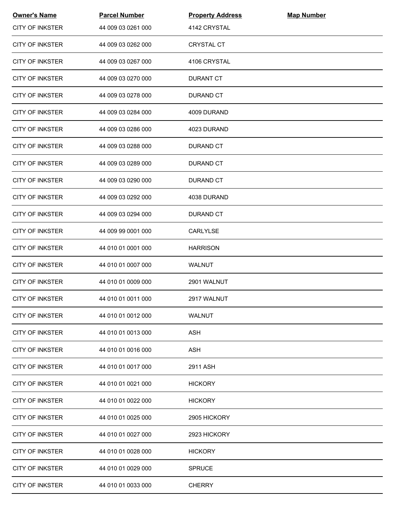| <b>Owner's Name</b>    | <b>Parcel Number</b> | <b>Property Address</b> | <b>Map Number</b> |  |
|------------------------|----------------------|-------------------------|-------------------|--|
| <b>CITY OF INKSTER</b> | 44 009 03 0261 000   | 4142 CRYSTAL            |                   |  |
| <b>CITY OF INKSTER</b> | 44 009 03 0262 000   | <b>CRYSTAL CT</b>       |                   |  |
| <b>CITY OF INKSTER</b> | 44 009 03 0267 000   | 4106 CRYSTAL            |                   |  |
| <b>CITY OF INKSTER</b> | 44 009 03 0270 000   | <b>DURANT CT</b>        |                   |  |
| <b>CITY OF INKSTER</b> | 44 009 03 0278 000   | DURAND CT               |                   |  |
| <b>CITY OF INKSTER</b> | 44 009 03 0284 000   | 4009 DURAND             |                   |  |
| <b>CITY OF INKSTER</b> | 44 009 03 0286 000   | 4023 DURAND             |                   |  |
| <b>CITY OF INKSTER</b> | 44 009 03 0288 000   | <b>DURAND CT</b>        |                   |  |
| <b>CITY OF INKSTER</b> | 44 009 03 0289 000   | <b>DURAND CT</b>        |                   |  |
| <b>CITY OF INKSTER</b> | 44 009 03 0290 000   | DURAND CT               |                   |  |
| <b>CITY OF INKSTER</b> | 44 009 03 0292 000   | 4038 DURAND             |                   |  |
| <b>CITY OF INKSTER</b> | 44 009 03 0294 000   | <b>DURAND CT</b>        |                   |  |
| <b>CITY OF INKSTER</b> | 44 009 99 0001 000   | CARLYLSE                |                   |  |
| <b>CITY OF INKSTER</b> | 44 010 01 0001 000   | <b>HARRISON</b>         |                   |  |
| <b>CITY OF INKSTER</b> | 44 010 01 0007 000   | <b>WALNUT</b>           |                   |  |
| <b>CITY OF INKSTER</b> | 44 010 01 0009 000   | 2901 WALNUT             |                   |  |
| <b>CITY OF INKSTER</b> | 44 010 01 0011 000   | 2917 WALNUT             |                   |  |
| CITY OF INKSTER        | 44 010 01 0012 000   | WALNUT                  |                   |  |
| <b>CITY OF INKSTER</b> | 44 010 01 0013 000   | <b>ASH</b>              |                   |  |
| <b>CITY OF INKSTER</b> | 44 010 01 0016 000   | <b>ASH</b>              |                   |  |
| <b>CITY OF INKSTER</b> | 44 010 01 0017 000   | 2911 ASH                |                   |  |
| <b>CITY OF INKSTER</b> | 44 010 01 0021 000   | <b>HICKORY</b>          |                   |  |
| <b>CITY OF INKSTER</b> | 44 010 01 0022 000   | <b>HICKORY</b>          |                   |  |
| <b>CITY OF INKSTER</b> | 44 010 01 0025 000   | 2905 HICKORY            |                   |  |
| <b>CITY OF INKSTER</b> | 44 010 01 0027 000   | 2923 HICKORY            |                   |  |
| <b>CITY OF INKSTER</b> | 44 010 01 0028 000   | <b>HICKORY</b>          |                   |  |
| <b>CITY OF INKSTER</b> | 44 010 01 0029 000   | <b>SPRUCE</b>           |                   |  |
| <b>CITY OF INKSTER</b> | 44 010 01 0033 000   | <b>CHERRY</b>           |                   |  |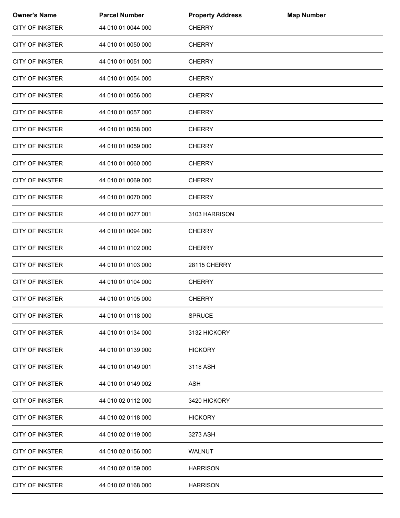| <b>Owner's Name</b>    | <b>Parcel Number</b> | <b>Property Address</b> | <b>Map Number</b> |  |
|------------------------|----------------------|-------------------------|-------------------|--|
| <b>CITY OF INKSTER</b> | 44 010 01 0044 000   | <b>CHERRY</b>           |                   |  |
| <b>CITY OF INKSTER</b> | 44 010 01 0050 000   | <b>CHERRY</b>           |                   |  |
| <b>CITY OF INKSTER</b> | 44 010 01 0051 000   | <b>CHERRY</b>           |                   |  |
| <b>CITY OF INKSTER</b> | 44 010 01 0054 000   | <b>CHERRY</b>           |                   |  |
| <b>CITY OF INKSTER</b> | 44 010 01 0056 000   | <b>CHERRY</b>           |                   |  |
| <b>CITY OF INKSTER</b> | 44 010 01 0057 000   | <b>CHERRY</b>           |                   |  |
| <b>CITY OF INKSTER</b> | 44 010 01 0058 000   | <b>CHERRY</b>           |                   |  |
| <b>CITY OF INKSTER</b> | 44 010 01 0059 000   | <b>CHERRY</b>           |                   |  |
| <b>CITY OF INKSTER</b> | 44 010 01 0060 000   | <b>CHERRY</b>           |                   |  |
| <b>CITY OF INKSTER</b> | 44 010 01 0069 000   | <b>CHERRY</b>           |                   |  |
| <b>CITY OF INKSTER</b> | 44 010 01 0070 000   | <b>CHERRY</b>           |                   |  |
| <b>CITY OF INKSTER</b> | 44 010 01 0077 001   | 3103 HARRISON           |                   |  |
| <b>CITY OF INKSTER</b> | 44 010 01 0094 000   | <b>CHERRY</b>           |                   |  |
| <b>CITY OF INKSTER</b> | 44 010 01 0102 000   | <b>CHERRY</b>           |                   |  |
| <b>CITY OF INKSTER</b> | 44 010 01 0103 000   | 28115 CHERRY            |                   |  |
| <b>CITY OF INKSTER</b> | 44 010 01 0104 000   | <b>CHERRY</b>           |                   |  |
| <b>CITY OF INKSTER</b> | 44 010 01 0105 000   | <b>CHERRY</b>           |                   |  |
| <b>CITY OF INKSTER</b> | 44 010 01 0118 000   | <b>SPRUCE</b>           |                   |  |
| <b>CITY OF INKSTER</b> | 44 010 01 0134 000   | 3132 HICKORY            |                   |  |
| <b>CITY OF INKSTER</b> | 44 010 01 0139 000   | <b>HICKORY</b>          |                   |  |
| <b>CITY OF INKSTER</b> | 44 010 01 0149 001   | 3118 ASH                |                   |  |
| <b>CITY OF INKSTER</b> | 44 010 01 0149 002   | ASH                     |                   |  |
| CITY OF INKSTER        | 44 010 02 0112 000   | 3420 HICKORY            |                   |  |
| <b>CITY OF INKSTER</b> | 44 010 02 0118 000   | <b>HICKORY</b>          |                   |  |
| <b>CITY OF INKSTER</b> | 44 010 02 0119 000   | 3273 ASH                |                   |  |
| <b>CITY OF INKSTER</b> | 44 010 02 0156 000   | WALNUT                  |                   |  |
| <b>CITY OF INKSTER</b> | 44 010 02 0159 000   | <b>HARRISON</b>         |                   |  |
| <b>CITY OF INKSTER</b> | 44 010 02 0168 000   | <b>HARRISON</b>         |                   |  |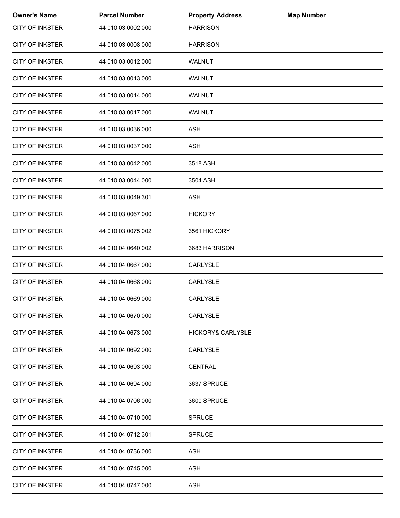| <b>Owner's Name</b>    | <b>Parcel Number</b> | <b>Property Address</b>      | <b>Map Number</b> |  |
|------------------------|----------------------|------------------------------|-------------------|--|
| <b>CITY OF INKSTER</b> | 44 010 03 0002 000   | <b>HARRISON</b>              |                   |  |
| <b>CITY OF INKSTER</b> | 44 010 03 0008 000   | <b>HARRISON</b>              |                   |  |
| <b>CITY OF INKSTER</b> | 44 010 03 0012 000   | WALNUT                       |                   |  |
| <b>CITY OF INKSTER</b> | 44 010 03 0013 000   | WALNUT                       |                   |  |
| <b>CITY OF INKSTER</b> | 44 010 03 0014 000   | WALNUT                       |                   |  |
| <b>CITY OF INKSTER</b> | 44 010 03 0017 000   | <b>WALNUT</b>                |                   |  |
| <b>CITY OF INKSTER</b> | 44 010 03 0036 000   | <b>ASH</b>                   |                   |  |
| <b>CITY OF INKSTER</b> | 44 010 03 0037 000   | <b>ASH</b>                   |                   |  |
| <b>CITY OF INKSTER</b> | 44 010 03 0042 000   | 3518 ASH                     |                   |  |
| <b>CITY OF INKSTER</b> | 44 010 03 0044 000   | 3504 ASH                     |                   |  |
| <b>CITY OF INKSTER</b> | 44 010 03 0049 301   | <b>ASH</b>                   |                   |  |
| <b>CITY OF INKSTER</b> | 44 010 03 0067 000   | <b>HICKORY</b>               |                   |  |
| <b>CITY OF INKSTER</b> | 44 010 03 0075 002   | 3561 HICKORY                 |                   |  |
| <b>CITY OF INKSTER</b> | 44 010 04 0640 002   | 3683 HARRISON                |                   |  |
| <b>CITY OF INKSTER</b> | 44 010 04 0667 000   | CARLYSLE                     |                   |  |
| <b>CITY OF INKSTER</b> | 44 010 04 0668 000   | CARLYSLE                     |                   |  |
| <b>CITY OF INKSTER</b> | 44 010 04 0669 000   | <b>CARLYSLE</b>              |                   |  |
| <b>CITY OF INKSTER</b> | 44 010 04 0670 000   | <b>CARLYSLE</b>              |                   |  |
| <b>CITY OF INKSTER</b> | 44 010 04 0673 000   | <b>HICKORY&amp; CARLYSLE</b> |                   |  |
| <b>CITY OF INKSTER</b> | 44 010 04 0692 000   | <b>CARLYSLE</b>              |                   |  |
| <b>CITY OF INKSTER</b> | 44 010 04 0693 000   | <b>CENTRAL</b>               |                   |  |
| <b>CITY OF INKSTER</b> | 44 010 04 0694 000   | 3637 SPRUCE                  |                   |  |
| <b>CITY OF INKSTER</b> | 44 010 04 0706 000   | 3600 SPRUCE                  |                   |  |
| <b>CITY OF INKSTER</b> | 44 010 04 0710 000   | <b>SPRUCE</b>                |                   |  |
| <b>CITY OF INKSTER</b> | 44 010 04 0712 301   | <b>SPRUCE</b>                |                   |  |
| <b>CITY OF INKSTER</b> | 44 010 04 0736 000   | <b>ASH</b>                   |                   |  |
| <b>CITY OF INKSTER</b> | 44 010 04 0745 000   | <b>ASH</b>                   |                   |  |
| <b>CITY OF INKSTER</b> | 44 010 04 0747 000   | ASH                          |                   |  |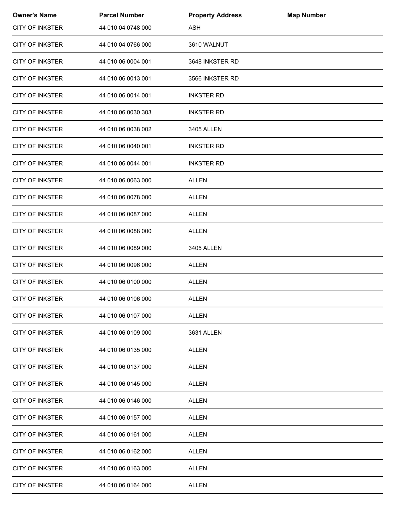| <b>Owner's Name</b>    | <b>Parcel Number</b> | <b>Property Address</b> | <b>Map Number</b> |  |
|------------------------|----------------------|-------------------------|-------------------|--|
| <b>CITY OF INKSTER</b> | 44 010 04 0748 000   | <b>ASH</b>              |                   |  |
| <b>CITY OF INKSTER</b> | 44 010 04 0766 000   | 3610 WALNUT             |                   |  |
| <b>CITY OF INKSTER</b> | 44 010 06 0004 001   | 3648 INKSTER RD         |                   |  |
| <b>CITY OF INKSTER</b> | 44 010 06 0013 001   | 3566 INKSTER RD         |                   |  |
| <b>CITY OF INKSTER</b> | 44 010 06 0014 001   | <b>INKSTER RD</b>       |                   |  |
| <b>CITY OF INKSTER</b> | 44 010 06 0030 303   | <b>INKSTER RD</b>       |                   |  |
| <b>CITY OF INKSTER</b> | 44 010 06 0038 002   | 3405 ALLEN              |                   |  |
| <b>CITY OF INKSTER</b> | 44 010 06 0040 001   | <b>INKSTER RD</b>       |                   |  |
| <b>CITY OF INKSTER</b> | 44 010 06 0044 001   | <b>INKSTER RD</b>       |                   |  |
| <b>CITY OF INKSTER</b> | 44 010 06 0063 000   | <b>ALLEN</b>            |                   |  |
| <b>CITY OF INKSTER</b> | 44 010 06 0078 000   | <b>ALLEN</b>            |                   |  |
| <b>CITY OF INKSTER</b> | 44 010 06 0087 000   | ALLEN                   |                   |  |
| <b>CITY OF INKSTER</b> | 44 010 06 0088 000   | <b>ALLEN</b>            |                   |  |
| <b>CITY OF INKSTER</b> | 44 010 06 0089 000   | 3405 ALLEN              |                   |  |
| <b>CITY OF INKSTER</b> | 44 010 06 0096 000   | ALLEN                   |                   |  |
| <b>CITY OF INKSTER</b> | 44 010 06 0100 000   | <b>ALLEN</b>            |                   |  |
| <b>CITY OF INKSTER</b> | 44 010 06 0106 000   | ALLEN                   |                   |  |
| <b>CITY OF INKSTER</b> | 44 010 06 0107 000   | <b>ALLEN</b>            |                   |  |
| <b>CITY OF INKSTER</b> | 44 010 06 0109 000   | 3631 ALLEN              |                   |  |
| <b>CITY OF INKSTER</b> | 44 010 06 0135 000   | ALLEN                   |                   |  |
| <b>CITY OF INKSTER</b> | 44 010 06 0137 000   | <b>ALLEN</b>            |                   |  |
| <b>CITY OF INKSTER</b> | 44 010 06 0145 000   | <b>ALLEN</b>            |                   |  |
| <b>CITY OF INKSTER</b> | 44 010 06 0146 000   | ALLEN                   |                   |  |
| <b>CITY OF INKSTER</b> | 44 010 06 0157 000   | <b>ALLEN</b>            |                   |  |
| CITY OF INKSTER        | 44 010 06 0161 000   | <b>ALLEN</b>            |                   |  |
| <b>CITY OF INKSTER</b> | 44 010 06 0162 000   | <b>ALLEN</b>            |                   |  |
| <b>CITY OF INKSTER</b> | 44 010 06 0163 000   | <b>ALLEN</b>            |                   |  |
| <b>CITY OF INKSTER</b> | 44 010 06 0164 000   | <b>ALLEN</b>            |                   |  |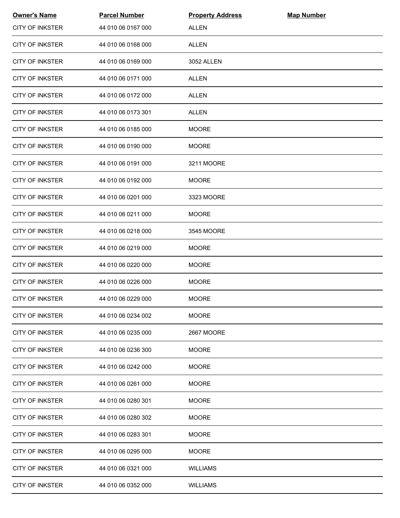| <b>Owner's Name</b>    | <b>Parcel Number</b> | <b>Property Address</b> | <b>Map Number</b> |  |
|------------------------|----------------------|-------------------------|-------------------|--|
| <b>CITY OF INKSTER</b> | 44 010 06 0167 000   | <b>ALLEN</b>            |                   |  |
| <b>CITY OF INKSTER</b> | 44 010 06 0168 000   | ALLEN                   |                   |  |
| <b>CITY OF INKSTER</b> | 44 010 06 0169 000   | 3052 ALLEN              |                   |  |
| <b>CITY OF INKSTER</b> | 44 010 06 0171 000   | <b>ALLEN</b>            |                   |  |
| <b>CITY OF INKSTER</b> | 44 010 06 0172 000   | <b>ALLEN</b>            |                   |  |
| <b>CITY OF INKSTER</b> | 44 010 06 0173 301   | ALLEN                   |                   |  |
| <b>CITY OF INKSTER</b> | 44 010 06 0185 000   | <b>MOORE</b>            |                   |  |
| <b>CITY OF INKSTER</b> | 44 010 06 0190 000   | <b>MOORE</b>            |                   |  |
| <b>CITY OF INKSTER</b> | 44 010 06 0191 000   | 3211 MOORE              |                   |  |
| <b>CITY OF INKSTER</b> | 44 010 06 0192 000   | <b>MOORE</b>            |                   |  |
| <b>CITY OF INKSTER</b> | 44 010 06 0201 000   | 3323 MOORE              |                   |  |
| <b>CITY OF INKSTER</b> | 44 010 06 0211 000   | <b>MOORE</b>            |                   |  |
| <b>CITY OF INKSTER</b> | 44 010 06 0218 000   | 3545 MOORE              |                   |  |
| <b>CITY OF INKSTER</b> | 44 010 06 0219 000   | <b>MOORE</b>            |                   |  |
| <b>CITY OF INKSTER</b> | 44 010 06 0220 000   | <b>MOORE</b>            |                   |  |
| <b>CITY OF INKSTER</b> | 44 010 06 0226 000   | <b>MOORE</b>            |                   |  |
| <b>CITY OF INKSTER</b> | 44 010 06 0229 000   | <b>MOORE</b>            |                   |  |
| <b>CITY OF INKSTER</b> | 44 010 06 0234 002   | <b>MOORE</b>            |                   |  |
| <b>CITY OF INKSTER</b> | 44 010 06 0235 000   | 2667 MOORE              |                   |  |
| <b>CITY OF INKSTER</b> | 44 010 06 0236 300   | <b>MOORE</b>            |                   |  |
| <b>CITY OF INKSTER</b> | 44 010 06 0242 000   | <b>MOORE</b>            |                   |  |
| <b>CITY OF INKSTER</b> | 44 010 06 0261 000   | <b>MOORE</b>            |                   |  |
| <b>CITY OF INKSTER</b> | 44 010 06 0280 301   | <b>MOORE</b>            |                   |  |
| <b>CITY OF INKSTER</b> | 44 010 06 0280 302   | <b>MOORE</b>            |                   |  |
| <b>CITY OF INKSTER</b> | 44 010 06 0283 301   | <b>MOORE</b>            |                   |  |
| <b>CITY OF INKSTER</b> | 44 010 06 0295 000   | <b>MOORE</b>            |                   |  |
| <b>CITY OF INKSTER</b> | 44 010 06 0321 000   | <b>WILLIAMS</b>         |                   |  |
| <b>CITY OF INKSTER</b> | 44 010 06 0352 000   | <b>WILLIAMS</b>         |                   |  |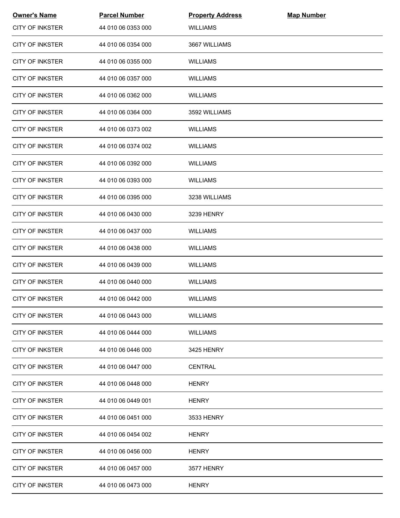| <b>Owner's Name</b>    | <b>Parcel Number</b> | <b>Property Address</b> | <b>Map Number</b> |  |
|------------------------|----------------------|-------------------------|-------------------|--|
| <b>CITY OF INKSTER</b> | 44 010 06 0353 000   | <b>WILLIAMS</b>         |                   |  |
| <b>CITY OF INKSTER</b> | 44 010 06 0354 000   | 3667 WILLIAMS           |                   |  |
| <b>CITY OF INKSTER</b> | 44 010 06 0355 000   | <b>WILLIAMS</b>         |                   |  |
| <b>CITY OF INKSTER</b> | 44 010 06 0357 000   | <b>WILLIAMS</b>         |                   |  |
| <b>CITY OF INKSTER</b> | 44 010 06 0362 000   | WILLIAMS                |                   |  |
| <b>CITY OF INKSTER</b> | 44 010 06 0364 000   | 3592 WILLIAMS           |                   |  |
| <b>CITY OF INKSTER</b> | 44 010 06 0373 002   | <b>WILLIAMS</b>         |                   |  |
| <b>CITY OF INKSTER</b> | 44 010 06 0374 002   | <b>WILLIAMS</b>         |                   |  |
| <b>CITY OF INKSTER</b> | 44 010 06 0392 000   | <b>WILLIAMS</b>         |                   |  |
| <b>CITY OF INKSTER</b> | 44 010 06 0393 000   | <b>WILLIAMS</b>         |                   |  |
| <b>CITY OF INKSTER</b> | 44 010 06 0395 000   | 3238 WILLIAMS           |                   |  |
| <b>CITY OF INKSTER</b> | 44 010 06 0430 000   | 3239 HENRY              |                   |  |
| <b>CITY OF INKSTER</b> | 44 010 06 0437 000   | <b>WILLIAMS</b>         |                   |  |
| <b>CITY OF INKSTER</b> | 44 010 06 0438 000   | <b>WILLIAMS</b>         |                   |  |
| <b>CITY OF INKSTER</b> | 44 010 06 0439 000   | <b>WILLIAMS</b>         |                   |  |
| <b>CITY OF INKSTER</b> | 44 010 06 0440 000   | <b>WILLIAMS</b>         |                   |  |
| <b>CITY OF INKSTER</b> | 44 010 06 0442 000   | <b>WILLIAMS</b>         |                   |  |
| <b>CITY OF INKSTER</b> | 44 010 06 0443 000   | <b>WILLIAMS</b>         |                   |  |
| <b>CITY OF INKSTER</b> | 44 010 06 0444 000   | <b>WILLIAMS</b>         |                   |  |
| <b>CITY OF INKSTER</b> | 44 010 06 0446 000   | 3425 HENRY              |                   |  |
| <b>CITY OF INKSTER</b> | 44 010 06 0447 000   | <b>CENTRAL</b>          |                   |  |
| <b>CITY OF INKSTER</b> | 44 010 06 0448 000   | <b>HENRY</b>            |                   |  |
| <b>CITY OF INKSTER</b> | 44 010 06 0449 001   | <b>HENRY</b>            |                   |  |
| <b>CITY OF INKSTER</b> | 44 010 06 0451 000   | 3533 HENRY              |                   |  |
| <b>CITY OF INKSTER</b> | 44 010 06 0454 002   | <b>HENRY</b>            |                   |  |
| <b>CITY OF INKSTER</b> | 44 010 06 0456 000   | <b>HENRY</b>            |                   |  |
| <b>CITY OF INKSTER</b> | 44 010 06 0457 000   | 3577 HENRY              |                   |  |
| <b>CITY OF INKSTER</b> | 44 010 06 0473 000   | <b>HENRY</b>            |                   |  |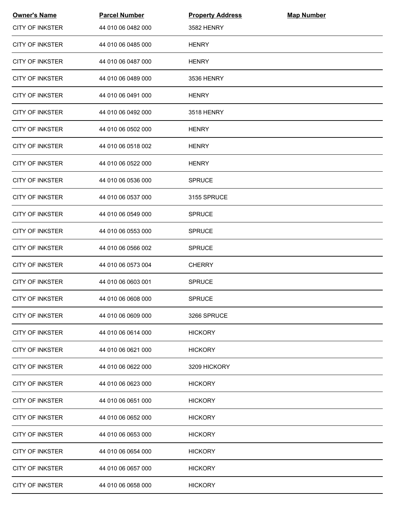| <b>Owner's Name</b>    | <b>Parcel Number</b> | <b>Property Address</b> | <b>Map Number</b> |  |
|------------------------|----------------------|-------------------------|-------------------|--|
| <b>CITY OF INKSTER</b> | 44 010 06 0482 000   | <b>3582 HENRY</b>       |                   |  |
| <b>CITY OF INKSTER</b> | 44 010 06 0485 000   | <b>HENRY</b>            |                   |  |
| <b>CITY OF INKSTER</b> | 44 010 06 0487 000   | <b>HENRY</b>            |                   |  |
| <b>CITY OF INKSTER</b> | 44 010 06 0489 000   | 3536 HENRY              |                   |  |
| <b>CITY OF INKSTER</b> | 44 010 06 0491 000   | <b>HENRY</b>            |                   |  |
| <b>CITY OF INKSTER</b> | 44 010 06 0492 000   | <b>3518 HENRY</b>       |                   |  |
| <b>CITY OF INKSTER</b> | 44 010 06 0502 000   | <b>HENRY</b>            |                   |  |
| <b>CITY OF INKSTER</b> | 44 010 06 0518 002   | <b>HENRY</b>            |                   |  |
| <b>CITY OF INKSTER</b> | 44 010 06 0522 000   | <b>HENRY</b>            |                   |  |
| <b>CITY OF INKSTER</b> | 44 010 06 0536 000   | <b>SPRUCE</b>           |                   |  |
| <b>CITY OF INKSTER</b> | 44 010 06 0537 000   | 3155 SPRUCE             |                   |  |
| <b>CITY OF INKSTER</b> | 44 010 06 0549 000   | <b>SPRUCE</b>           |                   |  |
| <b>CITY OF INKSTER</b> | 44 010 06 0553 000   | <b>SPRUCE</b>           |                   |  |
| <b>CITY OF INKSTER</b> | 44 010 06 0566 002   | <b>SPRUCE</b>           |                   |  |
| <b>CITY OF INKSTER</b> | 44 010 06 0573 004   | <b>CHERRY</b>           |                   |  |
| <b>CITY OF INKSTER</b> | 44 010 06 0603 001   | <b>SPRUCE</b>           |                   |  |
| <b>CITY OF INKSTER</b> | 44 010 06 0608 000   | <b>SPRUCE</b>           |                   |  |
| <b>CITY OF INKSTER</b> | 44 010 06 0609 000   | 3266 SPRUCE             |                   |  |
| <b>CITY OF INKSTER</b> | 44 010 06 0614 000   | <b>HICKORY</b>          |                   |  |
| <b>CITY OF INKSTER</b> | 44 010 06 0621 000   | <b>HICKORY</b>          |                   |  |
| <b>CITY OF INKSTER</b> | 44 010 06 0622 000   | 3209 HICKORY            |                   |  |
| <b>CITY OF INKSTER</b> | 44 010 06 0623 000   | <b>HICKORY</b>          |                   |  |
| CITY OF INKSTER        | 44 010 06 0651 000   | <b>HICKORY</b>          |                   |  |
| <b>CITY OF INKSTER</b> | 44 010 06 0652 000   | <b>HICKORY</b>          |                   |  |
| <b>CITY OF INKSTER</b> | 44 010 06 0653 000   | <b>HICKORY</b>          |                   |  |
| <b>CITY OF INKSTER</b> | 44 010 06 0654 000   | <b>HICKORY</b>          |                   |  |
| <b>CITY OF INKSTER</b> | 44 010 06 0657 000   | <b>HICKORY</b>          |                   |  |
| <b>CITY OF INKSTER</b> | 44 010 06 0658 000   | <b>HICKORY</b>          |                   |  |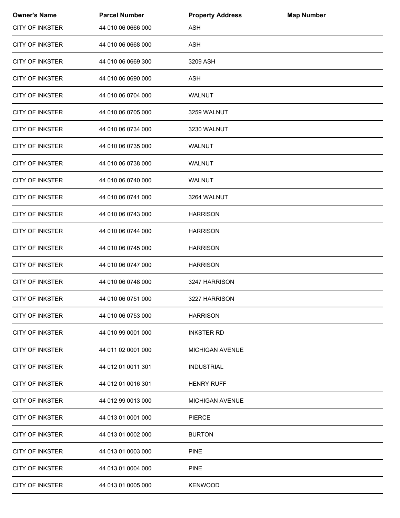| <b>Owner's Name</b>    | <b>Parcel Number</b> | <b>Property Address</b> | <b>Map Number</b> |  |
|------------------------|----------------------|-------------------------|-------------------|--|
| <b>CITY OF INKSTER</b> | 44 010 06 0666 000   | <b>ASH</b>              |                   |  |
| <b>CITY OF INKSTER</b> | 44 010 06 0668 000   | <b>ASH</b>              |                   |  |
| <b>CITY OF INKSTER</b> | 44 010 06 0669 300   | 3209 ASH                |                   |  |
| <b>CITY OF INKSTER</b> | 44 010 06 0690 000   | <b>ASH</b>              |                   |  |
| <b>CITY OF INKSTER</b> | 44 010 06 0704 000   | WALNUT                  |                   |  |
| CITY OF INKSTER        | 44 010 06 0705 000   | 3259 WALNUT             |                   |  |
| <b>CITY OF INKSTER</b> | 44 010 06 0734 000   | 3230 WALNUT             |                   |  |
| <b>CITY OF INKSTER</b> | 44 010 06 0735 000   | <b>WALNUT</b>           |                   |  |
| <b>CITY OF INKSTER</b> | 44 010 06 0738 000   | <b>WALNUT</b>           |                   |  |
| <b>CITY OF INKSTER</b> | 44 010 06 0740 000   | WALNUT                  |                   |  |
| <b>CITY OF INKSTER</b> | 44 010 06 0741 000   | 3264 WALNUT             |                   |  |
| <b>CITY OF INKSTER</b> | 44 010 06 0743 000   | <b>HARRISON</b>         |                   |  |
| <b>CITY OF INKSTER</b> | 44 010 06 0744 000   | <b>HARRISON</b>         |                   |  |
| <b>CITY OF INKSTER</b> | 44 010 06 0745 000   | <b>HARRISON</b>         |                   |  |
| <b>CITY OF INKSTER</b> | 44 010 06 0747 000   | <b>HARRISON</b>         |                   |  |
| <b>CITY OF INKSTER</b> | 44 010 06 0748 000   | 3247 HARRISON           |                   |  |
| <b>CITY OF INKSTER</b> | 44 010 06 0751 000   | 3227 HARRISON           |                   |  |
| <b>CITY OF INKSTER</b> | 44 010 06 0753 000   | <b>HARRISON</b>         |                   |  |
| <b>CITY OF INKSTER</b> | 44 010 99 0001 000   | <b>INKSTER RD</b>       |                   |  |
| <b>CITY OF INKSTER</b> | 44 011 02 0001 000   | <b>MICHIGAN AVENUE</b>  |                   |  |
| <b>CITY OF INKSTER</b> | 44 012 01 0011 301   | <b>INDUSTRIAL</b>       |                   |  |
| <b>CITY OF INKSTER</b> | 44 012 01 0016 301   | <b>HENRY RUFF</b>       |                   |  |
| <b>CITY OF INKSTER</b> | 44 012 99 0013 000   | <b>MICHIGAN AVENUE</b>  |                   |  |
| <b>CITY OF INKSTER</b> | 44 013 01 0001 000   | <b>PIERCE</b>           |                   |  |
| <b>CITY OF INKSTER</b> | 44 013 01 0002 000   | <b>BURTON</b>           |                   |  |
| <b>CITY OF INKSTER</b> | 44 013 01 0003 000   | <b>PINE</b>             |                   |  |
| <b>CITY OF INKSTER</b> | 44 013 01 0004 000   | <b>PINE</b>             |                   |  |
| <b>CITY OF INKSTER</b> | 44 013 01 0005 000   | <b>KENWOOD</b>          |                   |  |
|                        |                      |                         |                   |  |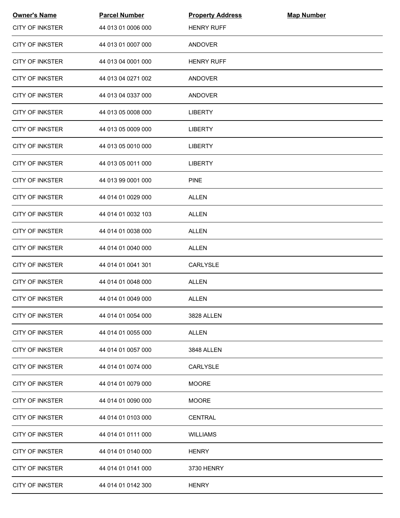| <b>Owner's Name</b>    | <b>Parcel Number</b> | <b>Property Address</b> | <b>Map Number</b> |  |
|------------------------|----------------------|-------------------------|-------------------|--|
| <b>CITY OF INKSTER</b> | 44 013 01 0006 000   | <b>HENRY RUFF</b>       |                   |  |
| <b>CITY OF INKSTER</b> | 44 013 01 0007 000   | <b>ANDOVER</b>          |                   |  |
| <b>CITY OF INKSTER</b> | 44 013 04 0001 000   | <b>HENRY RUFF</b>       |                   |  |
| <b>CITY OF INKSTER</b> | 44 013 04 0271 002   | ANDOVER                 |                   |  |
| <b>CITY OF INKSTER</b> | 44 013 04 0337 000   | ANDOVER                 |                   |  |
| <b>CITY OF INKSTER</b> | 44 013 05 0008 000   | <b>LIBERTY</b>          |                   |  |
| <b>CITY OF INKSTER</b> | 44 013 05 0009 000   | <b>LIBERTY</b>          |                   |  |
| <b>CITY OF INKSTER</b> | 44 013 05 0010 000   | <b>LIBERTY</b>          |                   |  |
| <b>CITY OF INKSTER</b> | 44 013 05 0011 000   | <b>LIBERTY</b>          |                   |  |
| <b>CITY OF INKSTER</b> | 44 013 99 0001 000   | <b>PINE</b>             |                   |  |
| <b>CITY OF INKSTER</b> | 44 014 01 0029 000   | <b>ALLEN</b>            |                   |  |
| <b>CITY OF INKSTER</b> | 44 014 01 0032 103   | ALLEN                   |                   |  |
| <b>CITY OF INKSTER</b> | 44 014 01 0038 000   | <b>ALLEN</b>            |                   |  |
| <b>CITY OF INKSTER</b> | 44 014 01 0040 000   | <b>ALLEN</b>            |                   |  |
| <b>CITY OF INKSTER</b> | 44 014 01 0041 301   | CARLYSLE                |                   |  |
| <b>CITY OF INKSTER</b> | 44 014 01 0048 000   | <b>ALLEN</b>            |                   |  |
| CITY OF INKSTER        | 44 014 01 0049 000   | <b>ALLEN</b>            |                   |  |
| CITY OF INKSTER        | 44 014 01 0054 000   | 3828 ALLEN              |                   |  |
| <b>CITY OF INKSTER</b> | 44 014 01 0055 000   | <b>ALLEN</b>            |                   |  |
| <b>CITY OF INKSTER</b> | 44 014 01 0057 000   | 3848 ALLEN              |                   |  |
| <b>CITY OF INKSTER</b> | 44 014 01 0074 000   | <b>CARLYSLE</b>         |                   |  |
| <b>CITY OF INKSTER</b> | 44 014 01 0079 000   | <b>MOORE</b>            |                   |  |
| <b>CITY OF INKSTER</b> | 44 014 01 0090 000   | <b>MOORE</b>            |                   |  |
| <b>CITY OF INKSTER</b> | 44 014 01 0103 000   | <b>CENTRAL</b>          |                   |  |
| <b>CITY OF INKSTER</b> | 44 014 01 0111 000   | <b>WILLIAMS</b>         |                   |  |
| <b>CITY OF INKSTER</b> | 44 014 01 0140 000   | <b>HENRY</b>            |                   |  |
| <b>CITY OF INKSTER</b> | 44 014 01 0141 000   | 3730 HENRY              |                   |  |
| <b>CITY OF INKSTER</b> | 44 014 01 0142 300   | <b>HENRY</b>            |                   |  |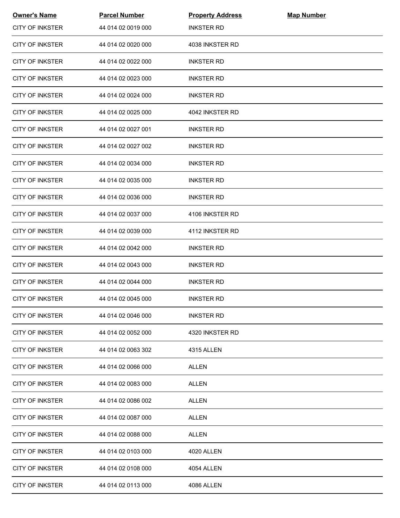| <b>Owner's Name</b>    | <b>Parcel Number</b> | <b>Property Address</b> | <b>Map Number</b> |  |
|------------------------|----------------------|-------------------------|-------------------|--|
| <b>CITY OF INKSTER</b> | 44 014 02 0019 000   | <b>INKSTER RD</b>       |                   |  |
| <b>CITY OF INKSTER</b> | 44 014 02 0020 000   | 4038 INKSTER RD         |                   |  |
| <b>CITY OF INKSTER</b> | 44 014 02 0022 000   | <b>INKSTER RD</b>       |                   |  |
| <b>CITY OF INKSTER</b> | 44 014 02 0023 000   | <b>INKSTER RD</b>       |                   |  |
| <b>CITY OF INKSTER</b> | 44 014 02 0024 000   | <b>INKSTER RD</b>       |                   |  |
| <b>CITY OF INKSTER</b> | 44 014 02 0025 000   | 4042 INKSTER RD         |                   |  |
| <b>CITY OF INKSTER</b> | 44 014 02 0027 001   | <b>INKSTER RD</b>       |                   |  |
| <b>CITY OF INKSTER</b> | 44 014 02 0027 002   | <b>INKSTER RD</b>       |                   |  |
| <b>CITY OF INKSTER</b> | 44 014 02 0034 000   | <b>INKSTER RD</b>       |                   |  |
| <b>CITY OF INKSTER</b> | 44 014 02 0035 000   | <b>INKSTER RD</b>       |                   |  |
| <b>CITY OF INKSTER</b> | 44 014 02 0036 000   | <b>INKSTER RD</b>       |                   |  |
| <b>CITY OF INKSTER</b> | 44 014 02 0037 000   | 4106 INKSTER RD         |                   |  |
| <b>CITY OF INKSTER</b> | 44 014 02 0039 000   | 4112 INKSTER RD         |                   |  |
| <b>CITY OF INKSTER</b> | 44 014 02 0042 000   | <b>INKSTER RD</b>       |                   |  |
| <b>CITY OF INKSTER</b> | 44 014 02 0043 000   | <b>INKSTER RD</b>       |                   |  |
| <b>CITY OF INKSTER</b> | 44 014 02 0044 000   | <b>INKSTER RD</b>       |                   |  |
| <b>CITY OF INKSTER</b> | 44 014 02 0045 000   | <b>INKSTER RD</b>       |                   |  |
| <b>CITY OF INKSTER</b> | 44 014 02 0046 000   | <b>INKSTER RD</b>       |                   |  |
| <b>CITY OF INKSTER</b> | 44 014 02 0052 000   | 4320 INKSTER RD         |                   |  |
| <b>CITY OF INKSTER</b> | 44 014 02 0063 302   | 4315 ALLEN              |                   |  |
| <b>CITY OF INKSTER</b> | 44 014 02 0066 000   | <b>ALLEN</b>            |                   |  |
| <b>CITY OF INKSTER</b> | 44 014 02 0083 000   | ALLEN                   |                   |  |
| <b>CITY OF INKSTER</b> | 44 014 02 0086 002   | <b>ALLEN</b>            |                   |  |
| <b>CITY OF INKSTER</b> | 44 014 02 0087 000   | ALLEN                   |                   |  |
| <b>CITY OF INKSTER</b> | 44 014 02 0088 000   | ALLEN                   |                   |  |
| <b>CITY OF INKSTER</b> | 44 014 02 0103 000   | 4020 ALLEN              |                   |  |
| <b>CITY OF INKSTER</b> | 44 014 02 0108 000   | 4054 ALLEN              |                   |  |
| <b>CITY OF INKSTER</b> | 44 014 02 0113 000   | 4086 ALLEN              |                   |  |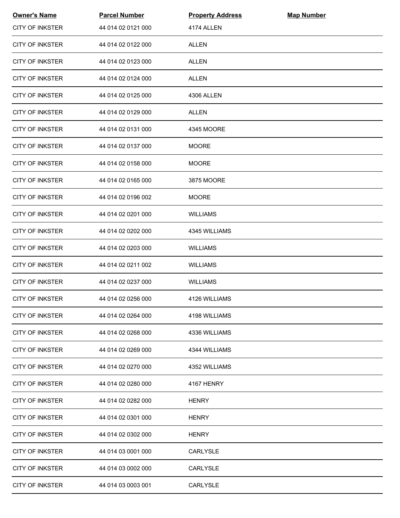| <b>Owner's Name</b>    | <b>Parcel Number</b> | <b>Property Address</b> | <b>Map Number</b> |  |
|------------------------|----------------------|-------------------------|-------------------|--|
| <b>CITY OF INKSTER</b> | 44 014 02 0121 000   | 4174 ALLEN              |                   |  |
| <b>CITY OF INKSTER</b> | 44 014 02 0122 000   | <b>ALLEN</b>            |                   |  |
| <b>CITY OF INKSTER</b> | 44 014 02 0123 000   | <b>ALLEN</b>            |                   |  |
| <b>CITY OF INKSTER</b> | 44 014 02 0124 000   | ALLEN                   |                   |  |
| <b>CITY OF INKSTER</b> | 44 014 02 0125 000   | 4306 ALLEN              |                   |  |
| <b>CITY OF INKSTER</b> | 44 014 02 0129 000   | ALLEN                   |                   |  |
| <b>CITY OF INKSTER</b> | 44 014 02 0131 000   | 4345 MOORE              |                   |  |
| <b>CITY OF INKSTER</b> | 44 014 02 0137 000   | <b>MOORE</b>            |                   |  |
| <b>CITY OF INKSTER</b> | 44 014 02 0158 000   | <b>MOORE</b>            |                   |  |
| <b>CITY OF INKSTER</b> | 44 014 02 0165 000   | 3875 MOORE              |                   |  |
| <b>CITY OF INKSTER</b> | 44 014 02 0196 002   | <b>MOORE</b>            |                   |  |
| <b>CITY OF INKSTER</b> | 44 014 02 0201 000   | <b>WILLIAMS</b>         |                   |  |
| <b>CITY OF INKSTER</b> | 44 014 02 0202 000   | 4345 WILLIAMS           |                   |  |
| <b>CITY OF INKSTER</b> | 44 014 02 0203 000   | <b>WILLIAMS</b>         |                   |  |
| <b>CITY OF INKSTER</b> | 44 014 02 0211 002   | <b>WILLIAMS</b>         |                   |  |
| <b>CITY OF INKSTER</b> | 44 014 02 0237 000   | <b>WILLIAMS</b>         |                   |  |
| <b>CITY OF INKSTER</b> | 44 014 02 0256 000   | 4126 WILLIAMS           |                   |  |
| <b>CITY OF INKSTER</b> | 44 014 02 0264 000   | 4198 WILLIAMS           |                   |  |
| <b>CITY OF INKSTER</b> | 44 014 02 0268 000   | 4336 WILLIAMS           |                   |  |
| <b>CITY OF INKSTER</b> | 44 014 02 0269 000   | 4344 WILLIAMS           |                   |  |
| <b>CITY OF INKSTER</b> | 44 014 02 0270 000   | 4352 WILLIAMS           |                   |  |
| <b>CITY OF INKSTER</b> | 44 014 02 0280 000   | 4167 HENRY              |                   |  |
| <b>CITY OF INKSTER</b> | 44 014 02 0282 000   | <b>HENRY</b>            |                   |  |
| <b>CITY OF INKSTER</b> | 44 014 02 0301 000   | <b>HENRY</b>            |                   |  |
| <b>CITY OF INKSTER</b> | 44 014 02 0302 000   | <b>HENRY</b>            |                   |  |
| <b>CITY OF INKSTER</b> | 44 014 03 0001 000   | CARLYSLE                |                   |  |
| <b>CITY OF INKSTER</b> | 44 014 03 0002 000   | CARLYSLE                |                   |  |
| <b>CITY OF INKSTER</b> | 44 014 03 0003 001   | CARLYSLE                |                   |  |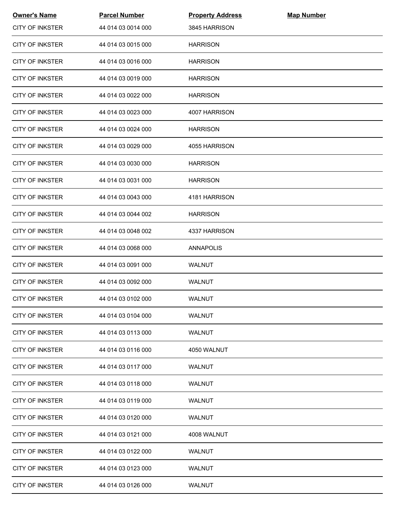| <b>Owner's Name</b>    | <b>Parcel Number</b> | <b>Property Address</b> | <b>Map Number</b> |  |
|------------------------|----------------------|-------------------------|-------------------|--|
| <b>CITY OF INKSTER</b> | 44 014 03 0014 000   | 3845 HARRISON           |                   |  |
| <b>CITY OF INKSTER</b> | 44 014 03 0015 000   | <b>HARRISON</b>         |                   |  |
| <b>CITY OF INKSTER</b> | 44 014 03 0016 000   | <b>HARRISON</b>         |                   |  |
| <b>CITY OF INKSTER</b> | 44 014 03 0019 000   | <b>HARRISON</b>         |                   |  |
| <b>CITY OF INKSTER</b> | 44 014 03 0022 000   | <b>HARRISON</b>         |                   |  |
| <b>CITY OF INKSTER</b> | 44 014 03 0023 000   | 4007 HARRISON           |                   |  |
| CITY OF INKSTER        | 44 014 03 0024 000   | <b>HARRISON</b>         |                   |  |
| <b>CITY OF INKSTER</b> | 44 014 03 0029 000   | 4055 HARRISON           |                   |  |
| <b>CITY OF INKSTER</b> | 44 014 03 0030 000   | <b>HARRISON</b>         |                   |  |
| <b>CITY OF INKSTER</b> | 44 014 03 0031 000   | <b>HARRISON</b>         |                   |  |
| <b>CITY OF INKSTER</b> | 44 014 03 0043 000   | 4181 HARRISON           |                   |  |
| <b>CITY OF INKSTER</b> | 44 014 03 0044 002   | <b>HARRISON</b>         |                   |  |
| <b>CITY OF INKSTER</b> | 44 014 03 0048 002   | 4337 HARRISON           |                   |  |
| CITY OF INKSTER        | 44 014 03 0068 000   | ANNAPOLIS               |                   |  |
| <b>CITY OF INKSTER</b> | 44 014 03 0091 000   | <b>WALNUT</b>           |                   |  |
| <b>CITY OF INKSTER</b> | 44 014 03 0092 000   | <b>WALNUT</b>           |                   |  |
| <b>CITY OF INKSTER</b> | 44 014 03 0102 000   | WALNUT                  |                   |  |
| <b>CITY OF INKSTER</b> | 44 014 03 0104 000   | WALNUT                  |                   |  |
| <b>CITY OF INKSTER</b> | 44 014 03 0113 000   | WALNUT                  |                   |  |
| <b>CITY OF INKSTER</b> | 44 014 03 0116 000   | 4050 WALNUT             |                   |  |
| <b>CITY OF INKSTER</b> | 44 014 03 0117 000   | <b>WALNUT</b>           |                   |  |
| <b>CITY OF INKSTER</b> | 44 014 03 0118 000   | WALNUT                  |                   |  |
| <b>CITY OF INKSTER</b> | 44 014 03 0119 000   | WALNUT                  |                   |  |
| <b>CITY OF INKSTER</b> | 44 014 03 0120 000   | <b>WALNUT</b>           |                   |  |
| <b>CITY OF INKSTER</b> | 44 014 03 0121 000   | 4008 WALNUT             |                   |  |
| <b>CITY OF INKSTER</b> | 44 014 03 0122 000   | <b>WALNUT</b>           |                   |  |
| <b>CITY OF INKSTER</b> | 44 014 03 0123 000   | WALNUT                  |                   |  |
| <b>CITY OF INKSTER</b> | 44 014 03 0126 000   | WALNUT                  |                   |  |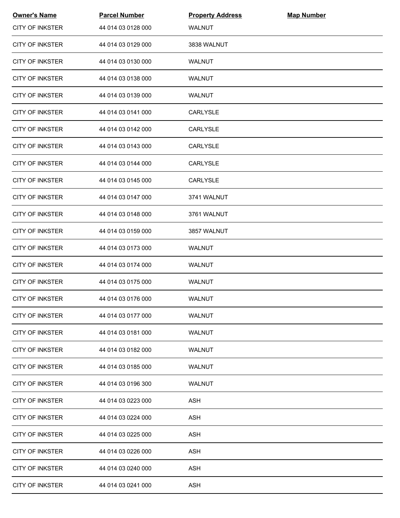| <b>Owner's Name</b>    | <b>Parcel Number</b> | <b>Property Address</b> | <b>Map Number</b> |  |
|------------------------|----------------------|-------------------------|-------------------|--|
| <b>CITY OF INKSTER</b> | 44 014 03 0128 000   | <b>WALNUT</b>           |                   |  |
| <b>CITY OF INKSTER</b> | 44 014 03 0129 000   | 3838 WALNUT             |                   |  |
| <b>CITY OF INKSTER</b> | 44 014 03 0130 000   | <b>WALNUT</b>           |                   |  |
| <b>CITY OF INKSTER</b> | 44 014 03 0138 000   | WALNUT                  |                   |  |
| <b>CITY OF INKSTER</b> | 44 014 03 0139 000   | WALNUT                  |                   |  |
| <b>CITY OF INKSTER</b> | 44 014 03 0141 000   | <b>CARLYSLE</b>         |                   |  |
| <b>CITY OF INKSTER</b> | 44 014 03 0142 000   | <b>CARLYSLE</b>         |                   |  |
| <b>CITY OF INKSTER</b> | 44 014 03 0143 000   | CARLYSLE                |                   |  |
| <b>CITY OF INKSTER</b> | 44 014 03 0144 000   | <b>CARLYSLE</b>         |                   |  |
| <b>CITY OF INKSTER</b> | 44 014 03 0145 000   | CARLYSLE                |                   |  |
| <b>CITY OF INKSTER</b> | 44 014 03 0147 000   | 3741 WALNUT             |                   |  |
| <b>CITY OF INKSTER</b> | 44 014 03 0148 000   | 3761 WALNUT             |                   |  |
| <b>CITY OF INKSTER</b> | 44 014 03 0159 000   | 3857 WALNUT             |                   |  |
| <b>CITY OF INKSTER</b> | 44 014 03 0173 000   | WALNUT                  |                   |  |
| <b>CITY OF INKSTER</b> | 44 014 03 0174 000   | WALNUT                  |                   |  |
| <b>CITY OF INKSTER</b> | 44 014 03 0175 000   | WALNUT                  |                   |  |
| <b>CITY OF INKSTER</b> | 44 014 03 0176 000   | WALNUT                  |                   |  |
| CITY OF INKSTER        | 44 014 03 0177 000   | WALNUT                  |                   |  |
| <b>CITY OF INKSTER</b> | 44 014 03 0181 000   | WALNUT                  |                   |  |
| <b>CITY OF INKSTER</b> | 44 014 03 0182 000   | <b>WALNUT</b>           |                   |  |
| <b>CITY OF INKSTER</b> | 44 014 03 0185 000   | <b>WALNUT</b>           |                   |  |
| <b>CITY OF INKSTER</b> | 44 014 03 0196 300   | WALNUT                  |                   |  |
| <b>CITY OF INKSTER</b> | 44 014 03 0223 000   | <b>ASH</b>              |                   |  |
| <b>CITY OF INKSTER</b> | 44 014 03 0224 000   | <b>ASH</b>              |                   |  |
| <b>CITY OF INKSTER</b> | 44 014 03 0225 000   | <b>ASH</b>              |                   |  |
| <b>CITY OF INKSTER</b> | 44 014 03 0226 000   | <b>ASH</b>              |                   |  |
| <b>CITY OF INKSTER</b> | 44 014 03 0240 000   | ASH                     |                   |  |
| <b>CITY OF INKSTER</b> | 44 014 03 0241 000   | ASH                     |                   |  |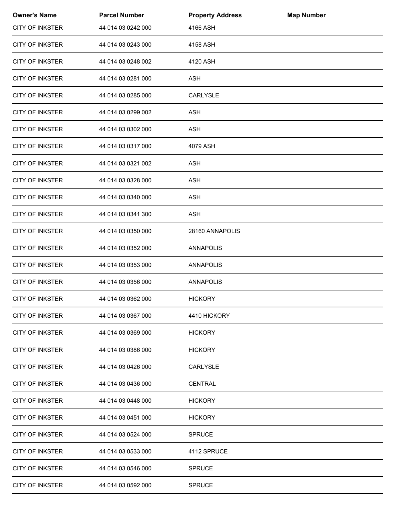| <b>Owner's Name</b>    | <b>Parcel Number</b> | <b>Property Address</b> | <b>Map Number</b> |  |
|------------------------|----------------------|-------------------------|-------------------|--|
| <b>CITY OF INKSTER</b> | 44 014 03 0242 000   | 4166 ASH                |                   |  |
| <b>CITY OF INKSTER</b> | 44 014 03 0243 000   | 4158 ASH                |                   |  |
| <b>CITY OF INKSTER</b> | 44 014 03 0248 002   | 4120 ASH                |                   |  |
| <b>CITY OF INKSTER</b> | 44 014 03 0281 000   | ASH                     |                   |  |
| <b>CITY OF INKSTER</b> | 44 014 03 0285 000   | CARLYSLE                |                   |  |
| <b>CITY OF INKSTER</b> | 44 014 03 0299 002   | <b>ASH</b>              |                   |  |
| <b>CITY OF INKSTER</b> | 44 014 03 0302 000   | <b>ASH</b>              |                   |  |
| <b>CITY OF INKSTER</b> | 44 014 03 0317 000   | 4079 ASH                |                   |  |
| <b>CITY OF INKSTER</b> | 44 014 03 0321 002   | <b>ASH</b>              |                   |  |
| <b>CITY OF INKSTER</b> | 44 014 03 0328 000   | <b>ASH</b>              |                   |  |
| <b>CITY OF INKSTER</b> | 44 014 03 0340 000   | ASH                     |                   |  |
| <b>CITY OF INKSTER</b> | 44 014 03 0341 300   | ASH                     |                   |  |
| <b>CITY OF INKSTER</b> | 44 014 03 0350 000   | 28160 ANNAPOLIS         |                   |  |
| <b>CITY OF INKSTER</b> | 44 014 03 0352 000   | ANNAPOLIS               |                   |  |
| <b>CITY OF INKSTER</b> | 44 014 03 0353 000   | <b>ANNAPOLIS</b>        |                   |  |
| <b>CITY OF INKSTER</b> | 44 014 03 0356 000   | <b>ANNAPOLIS</b>        |                   |  |
| <b>CITY OF INKSTER</b> | 44 014 03 0362 000   | <b>HICKORY</b>          |                   |  |
| <b>CITY OF INKSTER</b> | 44 014 03 0367 000   | 4410 HICKORY            |                   |  |
| <b>CITY OF INKSTER</b> | 44 014 03 0369 000   | <b>HICKORY</b>          |                   |  |
| <b>CITY OF INKSTER</b> | 44 014 03 0386 000   | <b>HICKORY</b>          |                   |  |
| <b>CITY OF INKSTER</b> | 44 014 03 0426 000   | CARLYSLE                |                   |  |
| <b>CITY OF INKSTER</b> | 44 014 03 0436 000   | <b>CENTRAL</b>          |                   |  |
| <b>CITY OF INKSTER</b> | 44 014 03 0448 000   | <b>HICKORY</b>          |                   |  |
| <b>CITY OF INKSTER</b> | 44 014 03 0451 000   | <b>HICKORY</b>          |                   |  |
| <b>CITY OF INKSTER</b> | 44 014 03 0524 000   | <b>SPRUCE</b>           |                   |  |
| <b>CITY OF INKSTER</b> | 44 014 03 0533 000   | 4112 SPRUCE             |                   |  |
| <b>CITY OF INKSTER</b> | 44 014 03 0546 000   | <b>SPRUCE</b>           |                   |  |
| <b>CITY OF INKSTER</b> | 44 014 03 0592 000   | <b>SPRUCE</b>           |                   |  |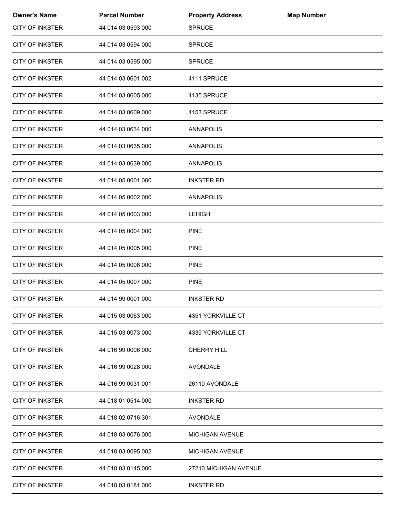| <b>Owner's Name</b>    | <b>Parcel Number</b> | <b>Property Address</b> | <b>Map Number</b> |  |
|------------------------|----------------------|-------------------------|-------------------|--|
| <b>CITY OF INKSTER</b> | 44 014 03 0593 000   | <b>SPRUCE</b>           |                   |  |
| <b>CITY OF INKSTER</b> | 44 014 03 0594 000   | <b>SPRUCE</b>           |                   |  |
| <b>CITY OF INKSTER</b> | 44 014 03 0595 000   | <b>SPRUCE</b>           |                   |  |
| <b>CITY OF INKSTER</b> | 44 014 03 0601 002   | 4111 SPRUCE             |                   |  |
| <b>CITY OF INKSTER</b> | 44 014 03 0605 000   | 4135 SPRUCE             |                   |  |
| <b>CITY OF INKSTER</b> | 44 014 03 0609 000   | 4153 SPRUCE             |                   |  |
| <b>CITY OF INKSTER</b> | 44 014 03 0634 000   | ANNAPOLIS               |                   |  |
| <b>CITY OF INKSTER</b> | 44 014 03 0635 000   | ANNAPOLIS               |                   |  |
| <b>CITY OF INKSTER</b> | 44 014 03 0639 000   | ANNAPOLIS               |                   |  |
| <b>CITY OF INKSTER</b> | 44 014 05 0001 000   | <b>INKSTER RD</b>       |                   |  |
| <b>CITY OF INKSTER</b> | 44 014 05 0002 000   | <b>ANNAPOLIS</b>        |                   |  |
| <b>CITY OF INKSTER</b> | 44 014 05 0003 000   | <b>LEHIGH</b>           |                   |  |
| <b>CITY OF INKSTER</b> | 44 014 05 0004 000   | <b>PINE</b>             |                   |  |
| <b>CITY OF INKSTER</b> | 44 014 05 0005 000   | <b>PINE</b>             |                   |  |
| <b>CITY OF INKSTER</b> | 44 014 05 0006 000   | <b>PINE</b>             |                   |  |
| <b>CITY OF INKSTER</b> | 44 014 05 0007 000   | <b>PINE</b>             |                   |  |
| <b>CITY OF INKSTER</b> | 44 014 99 0001 000   | <b>INKSTER RD</b>       |                   |  |
| <b>CITY OF INKSTER</b> | 44 015 03 0063 000   | 4351 YORKVILLE CT       |                   |  |
| <b>CITY OF INKSTER</b> | 44 015 03 0073 000   | 4339 YORKVILLE CT       |                   |  |
| <b>CITY OF INKSTER</b> | 44 016 99 0006 000   | <b>CHERRY HILL</b>      |                   |  |
| <b>CITY OF INKSTER</b> | 44 016 99 0028 000   | <b>AVONDALE</b>         |                   |  |
| <b>CITY OF INKSTER</b> | 44 016 99 0031 001   | 26110 AVONDALE          |                   |  |
| CITY OF INKSTER        | 44 018 01 0514 000   | <b>INKSTER RD</b>       |                   |  |
| <b>CITY OF INKSTER</b> | 44 018 02 0716 301   | AVONDALE                |                   |  |
| <b>CITY OF INKSTER</b> | 44 018 03 0076 000   | <b>MICHIGAN AVENUE</b>  |                   |  |
| <b>CITY OF INKSTER</b> | 44 018 03 0095 002   | <b>MICHIGAN AVENUE</b>  |                   |  |
| <b>CITY OF INKSTER</b> | 44 018 03 0145 000   | 27210 MICHIGAN AVENUE   |                   |  |
| <b>CITY OF INKSTER</b> | 44 018 03 0181 000   | <b>INKSTER RD</b>       |                   |  |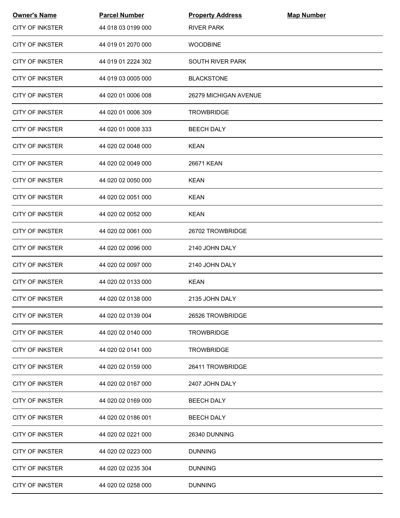| <b>Owner's Name</b>    | <b>Parcel Number</b> | <b>Property Address</b> | <b>Map Number</b> |  |
|------------------------|----------------------|-------------------------|-------------------|--|
| <b>CITY OF INKSTER</b> | 44 018 03 0199 000   | <b>RIVER PARK</b>       |                   |  |
| <b>CITY OF INKSTER</b> | 44 019 01 2070 000   | <b>WOODBINE</b>         |                   |  |
| <b>CITY OF INKSTER</b> | 44 019 01 2224 302   | <b>SOUTH RIVER PARK</b> |                   |  |
| <b>CITY OF INKSTER</b> | 44 019 03 0005 000   | <b>BLACKSTONE</b>       |                   |  |
| <b>CITY OF INKSTER</b> | 44 020 01 0006 008   | 26279 MICHIGAN AVENUE   |                   |  |
| <b>CITY OF INKSTER</b> | 44 020 01 0006 309   | <b>TROWBRIDGE</b>       |                   |  |
| <b>CITY OF INKSTER</b> | 44 020 01 0008 333   | <b>BEECH DALY</b>       |                   |  |
| <b>CITY OF INKSTER</b> | 44 020 02 0048 000   | <b>KEAN</b>             |                   |  |
| <b>CITY OF INKSTER</b> | 44 020 02 0049 000   | 26671 KEAN              |                   |  |
| <b>CITY OF INKSTER</b> | 44 020 02 0050 000   | <b>KEAN</b>             |                   |  |
| <b>CITY OF INKSTER</b> | 44 020 02 0051 000   | <b>KEAN</b>             |                   |  |
| <b>CITY OF INKSTER</b> | 44 020 02 0052 000   | <b>KEAN</b>             |                   |  |
| <b>CITY OF INKSTER</b> | 44 020 02 0061 000   | 26702 TROWBRIDGE        |                   |  |
| <b>CITY OF INKSTER</b> | 44 020 02 0096 000   | 2140 JOHN DALY          |                   |  |
| <b>CITY OF INKSTER</b> | 44 020 02 0097 000   | 2140 JOHN DALY          |                   |  |
| <b>CITY OF INKSTER</b> | 44 020 02 0133 000   | <b>KEAN</b>             |                   |  |
| <b>CITY OF INKSTER</b> | 44 020 02 0138 000   | 2135 JOHN DALY          |                   |  |
| <b>CITY OF INKSTER</b> | 44 020 02 0139 004   | 26526 TROWBRIDGE        |                   |  |
| <b>CITY OF INKSTER</b> | 44 020 02 0140 000   | <b>TROWBRIDGE</b>       |                   |  |
| <b>CITY OF INKSTER</b> | 44 020 02 0141 000   | <b>TROWBRIDGE</b>       |                   |  |
| <b>CITY OF INKSTER</b> | 44 020 02 0159 000   | 26411 TROWBRIDGE        |                   |  |
| <b>CITY OF INKSTER</b> | 44 020 02 0167 000   | 2407 JOHN DALY          |                   |  |
| <b>CITY OF INKSTER</b> | 44 020 02 0169 000   | <b>BEECH DALY</b>       |                   |  |
| <b>CITY OF INKSTER</b> | 44 020 02 0186 001   | <b>BEECH DALY</b>       |                   |  |
| <b>CITY OF INKSTER</b> | 44 020 02 0221 000   | 26340 DUNNING           |                   |  |
| <b>CITY OF INKSTER</b> | 44 020 02 0223 000   | <b>DUNNING</b>          |                   |  |
| <b>CITY OF INKSTER</b> | 44 020 02 0235 304   | <b>DUNNING</b>          |                   |  |
| <b>CITY OF INKSTER</b> | 44 020 02 0258 000   | <b>DUNNING</b>          |                   |  |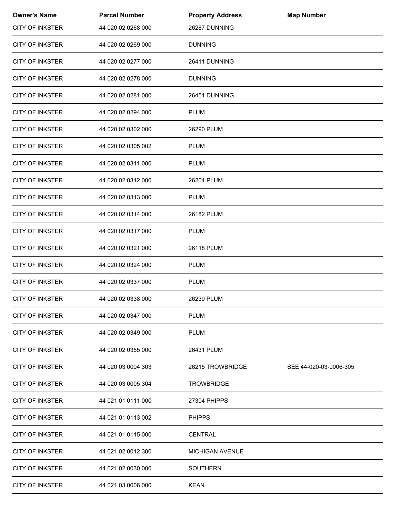| <b>Owner's Name</b>    | <b>Parcel Number</b> | <b>Property Address</b> | <b>Map Number</b>      |
|------------------------|----------------------|-------------------------|------------------------|
| <b>CITY OF INKSTER</b> | 44 020 02 0268 000   | 26287 DUNNING           |                        |
| <b>CITY OF INKSTER</b> | 44 020 02 0269 000   | <b>DUNNING</b>          |                        |
| <b>CITY OF INKSTER</b> | 44 020 02 0277 000   | 26411 DUNNING           |                        |
| <b>CITY OF INKSTER</b> | 44 020 02 0278 000   | <b>DUNNING</b>          |                        |
| <b>CITY OF INKSTER</b> | 44 020 02 0281 000   | 26451 DUNNING           |                        |
| <b>CITY OF INKSTER</b> | 44 020 02 0294 000   | <b>PLUM</b>             |                        |
| <b>CITY OF INKSTER</b> | 44 020 02 0302 000   | 26290 PLUM              |                        |
| <b>CITY OF INKSTER</b> | 44 020 02 0305 002   | <b>PLUM</b>             |                        |
| <b>CITY OF INKSTER</b> | 44 020 02 0311 000   | <b>PLUM</b>             |                        |
| <b>CITY OF INKSTER</b> | 44 020 02 0312 000   | 26204 PLUM              |                        |
| <b>CITY OF INKSTER</b> | 44 020 02 0313 000   | <b>PLUM</b>             |                        |
| <b>CITY OF INKSTER</b> | 44 020 02 0314 000   | 26182 PLUM              |                        |
| <b>CITY OF INKSTER</b> | 44 020 02 0317 000   | <b>PLUM</b>             |                        |
| <b>CITY OF INKSTER</b> | 44 020 02 0321 000   | 26118 PLUM              |                        |
| <b>CITY OF INKSTER</b> | 44 020 02 0324 000   | <b>PLUM</b>             |                        |
| <b>CITY OF INKSTER</b> | 44 020 02 0337 000   | <b>PLUM</b>             |                        |
| <b>CITY OF INKSTER</b> | 44 020 02 0338 000   | 26239 PLUM              |                        |
| <b>CITY OF INKSTER</b> | 44 020 02 0347 000   | <b>PLUM</b>             |                        |
| <b>CITY OF INKSTER</b> | 44 020 02 0349 000   | <b>PLUM</b>             |                        |
| <b>CITY OF INKSTER</b> | 44 020 02 0355 000   | 26431 PLUM              |                        |
| <b>CITY OF INKSTER</b> | 44 020 03 0004 303   | 26215 TROWBRIDGE        | SEE 44-020-03-0006-305 |
| <b>CITY OF INKSTER</b> | 44 020 03 0005 304   | <b>TROWBRIDGE</b>       |                        |
| CITY OF INKSTER        | 44 021 01 0111 000   | 27304 PHIPPS            |                        |
| <b>CITY OF INKSTER</b> | 44 021 01 0113 002   | <b>PHIPPS</b>           |                        |
| <b>CITY OF INKSTER</b> | 44 021 01 0115 000   | <b>CENTRAL</b>          |                        |
| <b>CITY OF INKSTER</b> | 44 021 02 0012 300   | <b>MICHIGAN AVENUE</b>  |                        |
| <b>CITY OF INKSTER</b> | 44 021 02 0030 000   | <b>SOUTHERN</b>         |                        |
| <b>CITY OF INKSTER</b> | 44 021 03 0006 000   | <b>KEAN</b>             |                        |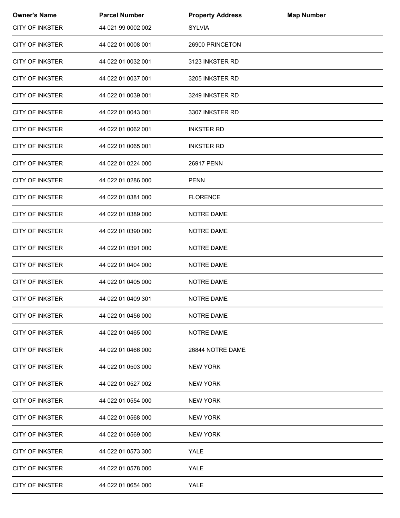| <b>Owner's Name</b>    | <b>Parcel Number</b> | <b>Property Address</b> | <b>Map Number</b> |  |
|------------------------|----------------------|-------------------------|-------------------|--|
| <b>CITY OF INKSTER</b> | 44 021 99 0002 002   | <b>SYLVIA</b>           |                   |  |
| <b>CITY OF INKSTER</b> | 44 022 01 0008 001   | 26900 PRINCETON         |                   |  |
| <b>CITY OF INKSTER</b> | 44 022 01 0032 001   | 3123 INKSTER RD         |                   |  |
| <b>CITY OF INKSTER</b> | 44 022 01 0037 001   | 3205 INKSTER RD         |                   |  |
| <b>CITY OF INKSTER</b> | 44 022 01 0039 001   | 3249 INKSTER RD         |                   |  |
| <b>CITY OF INKSTER</b> | 44 022 01 0043 001   | 3307 INKSTER RD         |                   |  |
| <b>CITY OF INKSTER</b> | 44 022 01 0062 001   | <b>INKSTER RD</b>       |                   |  |
| <b>CITY OF INKSTER</b> | 44 022 01 0065 001   | <b>INKSTER RD</b>       |                   |  |
| <b>CITY OF INKSTER</b> | 44 022 01 0224 000   | 26917 PENN              |                   |  |
| <b>CITY OF INKSTER</b> | 44 022 01 0286 000   | <b>PENN</b>             |                   |  |
| <b>CITY OF INKSTER</b> | 44 022 01 0381 000   | <b>FLORENCE</b>         |                   |  |
| <b>CITY OF INKSTER</b> | 44 022 01 0389 000   | NOTRE DAME              |                   |  |
| <b>CITY OF INKSTER</b> | 44 022 01 0390 000   | NOTRE DAME              |                   |  |
| <b>CITY OF INKSTER</b> | 44 022 01 0391 000   | NOTRE DAME              |                   |  |
| <b>CITY OF INKSTER</b> | 44 022 01 0404 000   | NOTRE DAME              |                   |  |
| <b>CITY OF INKSTER</b> | 44 022 01 0405 000   | <b>NOTRE DAME</b>       |                   |  |
| <b>CITY OF INKSTER</b> | 44 022 01 0409 301   | NOTRE DAME              |                   |  |
| <b>CITY OF INKSTER</b> | 44 022 01 0456 000   | NOTRE DAME              |                   |  |
| <b>CITY OF INKSTER</b> | 44 022 01 0465 000   | NOTRE DAME              |                   |  |
| <b>CITY OF INKSTER</b> | 44 022 01 0466 000   | 26844 NOTRE DAME        |                   |  |
| <b>CITY OF INKSTER</b> | 44 022 01 0503 000   | <b>NEW YORK</b>         |                   |  |
| <b>CITY OF INKSTER</b> | 44 022 01 0527 002   | <b>NEW YORK</b>         |                   |  |
| CITY OF INKSTER        | 44 022 01 0554 000   | <b>NEW YORK</b>         |                   |  |
| <b>CITY OF INKSTER</b> | 44 022 01 0568 000   | <b>NEW YORK</b>         |                   |  |
| <b>CITY OF INKSTER</b> | 44 022 01 0569 000   | <b>NEW YORK</b>         |                   |  |
| <b>CITY OF INKSTER</b> | 44 022 01 0573 300   | YALE                    |                   |  |
| <b>CITY OF INKSTER</b> | 44 022 01 0578 000   | YALE                    |                   |  |
| <b>CITY OF INKSTER</b> | 44 022 01 0654 000   | <b>YALE</b>             |                   |  |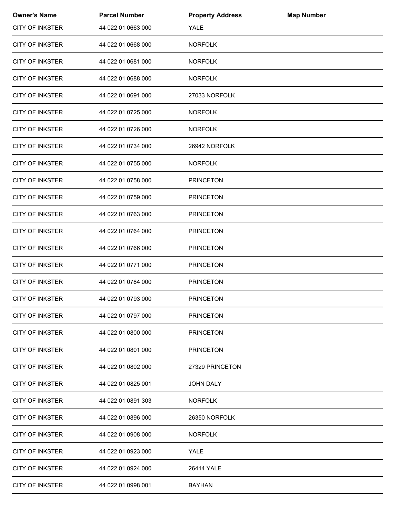| <b>Owner's Name</b>    | <b>Parcel Number</b> | <b>Property Address</b> | <b>Map Number</b> |  |
|------------------------|----------------------|-------------------------|-------------------|--|
| <b>CITY OF INKSTER</b> | 44 022 01 0663 000   | <b>YALE</b>             |                   |  |
| <b>CITY OF INKSTER</b> | 44 022 01 0668 000   | <b>NORFOLK</b>          |                   |  |
| <b>CITY OF INKSTER</b> | 44 022 01 0681 000   | <b>NORFOLK</b>          |                   |  |
| <b>CITY OF INKSTER</b> | 44 022 01 0688 000   | <b>NORFOLK</b>          |                   |  |
| <b>CITY OF INKSTER</b> | 44 022 01 0691 000   | 27033 NORFOLK           |                   |  |
| <b>CITY OF INKSTER</b> | 44 022 01 0725 000   | <b>NORFOLK</b>          |                   |  |
| CITY OF INKSTER        | 44 022 01 0726 000   | <b>NORFOLK</b>          |                   |  |
| <b>CITY OF INKSTER</b> | 44 022 01 0734 000   | 26942 NORFOLK           |                   |  |
| <b>CITY OF INKSTER</b> | 44 022 01 0755 000   | <b>NORFOLK</b>          |                   |  |
| <b>CITY OF INKSTER</b> | 44 022 01 0758 000   | <b>PRINCETON</b>        |                   |  |
| <b>CITY OF INKSTER</b> | 44 022 01 0759 000   | <b>PRINCETON</b>        |                   |  |
| <b>CITY OF INKSTER</b> | 44 022 01 0763 000   | <b>PRINCETON</b>        |                   |  |
| <b>CITY OF INKSTER</b> | 44 022 01 0764 000   | <b>PRINCETON</b>        |                   |  |
| <b>CITY OF INKSTER</b> | 44 022 01 0766 000   | <b>PRINCETON</b>        |                   |  |
| <b>CITY OF INKSTER</b> | 44 022 01 0771 000   | <b>PRINCETON</b>        |                   |  |
| <b>CITY OF INKSTER</b> | 44 022 01 0784 000   | <b>PRINCETON</b>        |                   |  |
| <b>CITY OF INKSTER</b> | 44 022 01 0793 000   | <b>PRINCETON</b>        |                   |  |
| <b>CITY OF INKSTER</b> | 44 022 01 0797 000   | <b>PRINCETON</b>        |                   |  |
| <b>CITY OF INKSTER</b> | 44 022 01 0800 000   | <b>PRINCETON</b>        |                   |  |
| <b>CITY OF INKSTER</b> | 44 022 01 0801 000   | <b>PRINCETON</b>        |                   |  |
| <b>CITY OF INKSTER</b> | 44 022 01 0802 000   | 27329 PRINCETON         |                   |  |
| <b>CITY OF INKSTER</b> | 44 022 01 0825 001   | <b>JOHN DALY</b>        |                   |  |
| <b>CITY OF INKSTER</b> | 44 022 01 0891 303   | <b>NORFOLK</b>          |                   |  |
| <b>CITY OF INKSTER</b> | 44 022 01 0896 000   | 26350 NORFOLK           |                   |  |
| <b>CITY OF INKSTER</b> | 44 022 01 0908 000   | <b>NORFOLK</b>          |                   |  |
| <b>CITY OF INKSTER</b> | 44 022 01 0923 000   | YALE                    |                   |  |
| <b>CITY OF INKSTER</b> | 44 022 01 0924 000   | 26414 YALE              |                   |  |
| <b>CITY OF INKSTER</b> | 44 022 01 0998 001   | <b>BAYHAN</b>           |                   |  |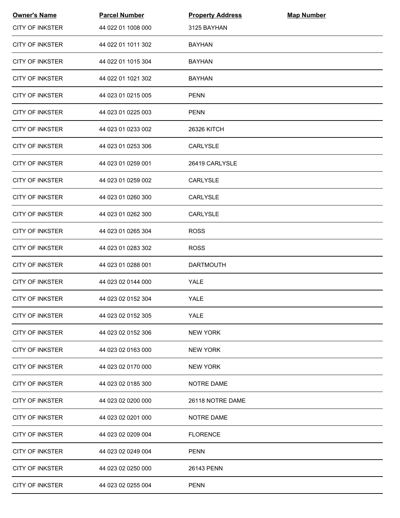| <b>Owner's Name</b>    | <b>Parcel Number</b> | <b>Property Address</b> | <b>Map Number</b> |  |
|------------------------|----------------------|-------------------------|-------------------|--|
| <b>CITY OF INKSTER</b> | 44 022 01 1008 000   | 3125 BAYHAN             |                   |  |
| <b>CITY OF INKSTER</b> | 44 022 01 1011 302   | <b>BAYHAN</b>           |                   |  |
| <b>CITY OF INKSTER</b> | 44 022 01 1015 304   | <b>BAYHAN</b>           |                   |  |
| <b>CITY OF INKSTER</b> | 44 022 01 1021 302   | <b>BAYHAN</b>           |                   |  |
| <b>CITY OF INKSTER</b> | 44 023 01 0215 005   | <b>PENN</b>             |                   |  |
| <b>CITY OF INKSTER</b> | 44 023 01 0225 003   | <b>PENN</b>             |                   |  |
| <b>CITY OF INKSTER</b> | 44 023 01 0233 002   | 26326 KITCH             |                   |  |
| <b>CITY OF INKSTER</b> | 44 023 01 0253 306   | <b>CARLYSLE</b>         |                   |  |
| <b>CITY OF INKSTER</b> | 44 023 01 0259 001   | 26419 CARLYSLE          |                   |  |
| <b>CITY OF INKSTER</b> | 44 023 01 0259 002   | CARLYSLE                |                   |  |
| <b>CITY OF INKSTER</b> | 44 023 01 0260 300   | <b>CARLYSLE</b>         |                   |  |
| <b>CITY OF INKSTER</b> | 44 023 01 0262 300   | CARLYSLE                |                   |  |
| <b>CITY OF INKSTER</b> | 44 023 01 0265 304   | <b>ROSS</b>             |                   |  |
| <b>CITY OF INKSTER</b> | 44 023 01 0283 302   | <b>ROSS</b>             |                   |  |
| <b>CITY OF INKSTER</b> | 44 023 01 0288 001   | <b>DARTMOUTH</b>        |                   |  |
| <b>CITY OF INKSTER</b> | 44 023 02 0144 000   | YALE                    |                   |  |
| <b>CITY OF INKSTER</b> | 44 023 02 0152 304   | <b>YALE</b>             |                   |  |
| <b>CITY OF INKSTER</b> | 44 023 02 0152 305   | <b>YALE</b>             |                   |  |
| <b>CITY OF INKSTER</b> | 44 023 02 0152 306   | <b>NEW YORK</b>         |                   |  |
| <b>CITY OF INKSTER</b> | 44 023 02 0163 000   | <b>NEW YORK</b>         |                   |  |
| <b>CITY OF INKSTER</b> | 44 023 02 0170 000   | <b>NEW YORK</b>         |                   |  |
| <b>CITY OF INKSTER</b> | 44 023 02 0185 300   | <b>NOTRE DAME</b>       |                   |  |
| CITY OF INKSTER        | 44 023 02 0200 000   | 26118 NOTRE DAME        |                   |  |
| <b>CITY OF INKSTER</b> | 44 023 02 0201 000   | <b>NOTRE DAME</b>       |                   |  |
| <b>CITY OF INKSTER</b> | 44 023 02 0209 004   | <b>FLORENCE</b>         |                   |  |
| <b>CITY OF INKSTER</b> | 44 023 02 0249 004   | <b>PENN</b>             |                   |  |
| <b>CITY OF INKSTER</b> | 44 023 02 0250 000   | 26143 PENN              |                   |  |
| <b>CITY OF INKSTER</b> | 44 023 02 0255 004   | <b>PENN</b>             |                   |  |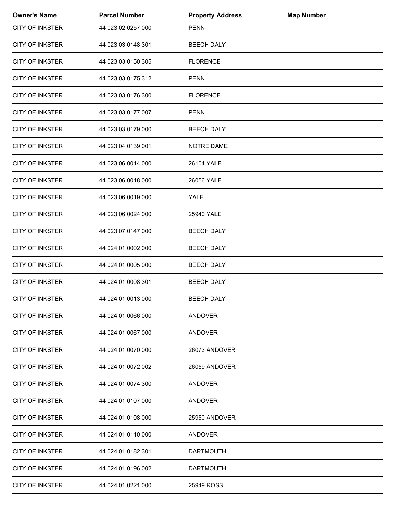| <b>Owner's Name</b>    | <b>Parcel Number</b> | <b>Property Address</b> | <b>Map Number</b> |  |
|------------------------|----------------------|-------------------------|-------------------|--|
| <b>CITY OF INKSTER</b> | 44 023 02 0257 000   | <b>PENN</b>             |                   |  |
| <b>CITY OF INKSTER</b> | 44 023 03 0148 301   | <b>BEECH DALY</b>       |                   |  |
| <b>CITY OF INKSTER</b> | 44 023 03 0150 305   | <b>FLORENCE</b>         |                   |  |
| <b>CITY OF INKSTER</b> | 44 023 03 0175 312   | <b>PENN</b>             |                   |  |
| <b>CITY OF INKSTER</b> | 44 023 03 0176 300   | <b>FLORENCE</b>         |                   |  |
| <b>CITY OF INKSTER</b> | 44 023 03 0177 007   | <b>PENN</b>             |                   |  |
| <b>CITY OF INKSTER</b> | 44 023 03 0179 000   | <b>BEECH DALY</b>       |                   |  |
| <b>CITY OF INKSTER</b> | 44 023 04 0139 001   | <b>NOTRE DAME</b>       |                   |  |
| <b>CITY OF INKSTER</b> | 44 023 06 0014 000   | 26104 YALE              |                   |  |
| <b>CITY OF INKSTER</b> | 44 023 06 0018 000   | 26056 YALE              |                   |  |
| <b>CITY OF INKSTER</b> | 44 023 06 0019 000   | YALE                    |                   |  |
| <b>CITY OF INKSTER</b> | 44 023 06 0024 000   | 25940 YALE              |                   |  |
| <b>CITY OF INKSTER</b> | 44 023 07 0147 000   | <b>BEECH DALY</b>       |                   |  |
| <b>CITY OF INKSTER</b> | 44 024 01 0002 000   | <b>BEECH DALY</b>       |                   |  |
| <b>CITY OF INKSTER</b> | 44 024 01 0005 000   | <b>BEECH DALY</b>       |                   |  |
| <b>CITY OF INKSTER</b> | 44 024 01 0008 301   | <b>BEECH DALY</b>       |                   |  |
| <b>CITY OF INKSTER</b> | 44 024 01 0013 000   | <b>BEECH DALY</b>       |                   |  |
| <b>CITY OF INKSTER</b> | 44 024 01 0066 000   | <b>ANDOVER</b>          |                   |  |
| <b>CITY OF INKSTER</b> | 44 024 01 0067 000   | ANDOVER                 |                   |  |
| <b>CITY OF INKSTER</b> | 44 024 01 0070 000   | 26073 ANDOVER           |                   |  |
| <b>CITY OF INKSTER</b> | 44 024 01 0072 002   | 26059 ANDOVER           |                   |  |
| CITY OF INKSTER        | 44 024 01 0074 300   | ANDOVER                 |                   |  |
| <b>CITY OF INKSTER</b> | 44 024 01 0107 000   | <b>ANDOVER</b>          |                   |  |
| <b>CITY OF INKSTER</b> | 44 024 01 0108 000   | 25950 ANDOVER           |                   |  |
| <b>CITY OF INKSTER</b> | 44 024 01 0110 000   | <b>ANDOVER</b>          |                   |  |
| <b>CITY OF INKSTER</b> | 44 024 01 0182 301   | <b>DARTMOUTH</b>        |                   |  |
| <b>CITY OF INKSTER</b> | 44 024 01 0196 002   | <b>DARTMOUTH</b>        |                   |  |
| <b>CITY OF INKSTER</b> | 44 024 01 0221 000   | 25949 ROSS              |                   |  |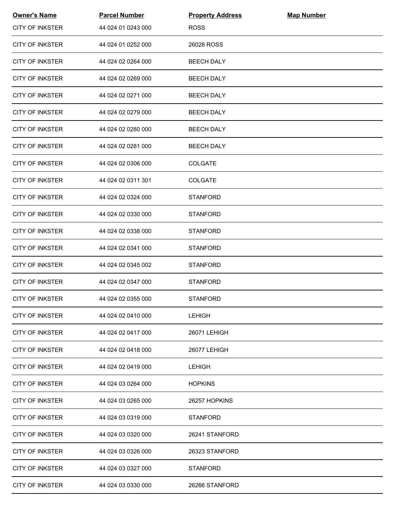| <b>Owner's Name</b>    | <b>Parcel Number</b> | <b>Property Address</b> | <b>Map Number</b> |  |
|------------------------|----------------------|-------------------------|-------------------|--|
| <b>CITY OF INKSTER</b> | 44 024 01 0243 000   | <b>ROSS</b>             |                   |  |
| <b>CITY OF INKSTER</b> | 44 024 01 0252 000   | 26028 ROSS              |                   |  |
| <b>CITY OF INKSTER</b> | 44 024 02 0264 000   | <b>BEECH DALY</b>       |                   |  |
| <b>CITY OF INKSTER</b> | 44 024 02 0269 000   | <b>BEECH DALY</b>       |                   |  |
| <b>CITY OF INKSTER</b> | 44 024 02 0271 000   | <b>BEECH DALY</b>       |                   |  |
| <b>CITY OF INKSTER</b> | 44 024 02 0279 000   | <b>BEECH DALY</b>       |                   |  |
| <b>CITY OF INKSTER</b> | 44 024 02 0280 000   | <b>BEECH DALY</b>       |                   |  |
| <b>CITY OF INKSTER</b> | 44 024 02 0281 000   | <b>BEECH DALY</b>       |                   |  |
| <b>CITY OF INKSTER</b> | 44 024 02 0306 000   | <b>COLGATE</b>          |                   |  |
| <b>CITY OF INKSTER</b> | 44 024 02 0311 301   | <b>COLGATE</b>          |                   |  |
| <b>CITY OF INKSTER</b> | 44 024 02 0324 000   | <b>STANFORD</b>         |                   |  |
| <b>CITY OF INKSTER</b> | 44 024 02 0330 000   | <b>STANFORD</b>         |                   |  |
| <b>CITY OF INKSTER</b> | 44 024 02 0338 000   | <b>STANFORD</b>         |                   |  |
| <b>CITY OF INKSTER</b> | 44 024 02 0341 000   | <b>STANFORD</b>         |                   |  |
| <b>CITY OF INKSTER</b> | 44 024 02 0345 002   | <b>STANFORD</b>         |                   |  |
| <b>CITY OF INKSTER</b> | 44 024 02 0347 000   | <b>STANFORD</b>         |                   |  |
| <b>CITY OF INKSTER</b> | 44 024 02 0355 000   | <b>STANFORD</b>         |                   |  |
| <b>CITY OF INKSTER</b> | 44 024 02 0410 000   | <b>LEHIGH</b>           |                   |  |
| <b>CITY OF INKSTER</b> | 44 024 02 0417 000   | 26071 LEHIGH            |                   |  |
| <b>CITY OF INKSTER</b> | 44 024 02 0418 000   | 26077 LEHIGH            |                   |  |
| <b>CITY OF INKSTER</b> | 44 024 02 0419 000   | <b>LEHIGH</b>           |                   |  |
| <b>CITY OF INKSTER</b> | 44 024 03 0264 000   | <b>HOPKINS</b>          |                   |  |
| CITY OF INKSTER        | 44 024 03 0265 000   | 26257 HOPKINS           |                   |  |
| <b>CITY OF INKSTER</b> | 44 024 03 0319 000   | <b>STANFORD</b>         |                   |  |
| <b>CITY OF INKSTER</b> | 44 024 03 0320 000   | 26241 STANFORD          |                   |  |
| <b>CITY OF INKSTER</b> | 44 024 03 0326 000   | 26323 STANFORD          |                   |  |
| <b>CITY OF INKSTER</b> | 44 024 03 0327 000   | <b>STANFORD</b>         |                   |  |
| <b>CITY OF INKSTER</b> | 44 024 03 0330 000   | 26266 STANFORD          |                   |  |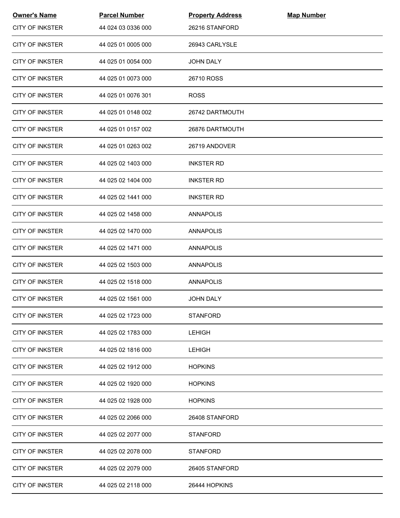| <b>Owner's Name</b>    | <b>Parcel Number</b> | <b>Property Address</b> | <b>Map Number</b> |  |
|------------------------|----------------------|-------------------------|-------------------|--|
| <b>CITY OF INKSTER</b> | 44 024 03 0336 000   | 26216 STANFORD          |                   |  |
| <b>CITY OF INKSTER</b> | 44 025 01 0005 000   | 26943 CARLYSLE          |                   |  |
| <b>CITY OF INKSTER</b> | 44 025 01 0054 000   | <b>JOHN DALY</b>        |                   |  |
| <b>CITY OF INKSTER</b> | 44 025 01 0073 000   | 26710 ROSS              |                   |  |
| <b>CITY OF INKSTER</b> | 44 025 01 0076 301   | <b>ROSS</b>             |                   |  |
| <b>CITY OF INKSTER</b> | 44 025 01 0148 002   | 26742 DARTMOUTH         |                   |  |
| <b>CITY OF INKSTER</b> | 44 025 01 0157 002   | 26876 DARTMOUTH         |                   |  |
| <b>CITY OF INKSTER</b> | 44 025 01 0263 002   | 26719 ANDOVER           |                   |  |
| <b>CITY OF INKSTER</b> | 44 025 02 1403 000   | <b>INKSTER RD</b>       |                   |  |
| <b>CITY OF INKSTER</b> | 44 025 02 1404 000   | <b>INKSTER RD</b>       |                   |  |
| <b>CITY OF INKSTER</b> | 44 025 02 1441 000   | <b>INKSTER RD</b>       |                   |  |
| <b>CITY OF INKSTER</b> | 44 025 02 1458 000   | ANNAPOLIS               |                   |  |
| <b>CITY OF INKSTER</b> | 44 025 02 1470 000   | ANNAPOLIS               |                   |  |
| <b>CITY OF INKSTER</b> | 44 025 02 1471 000   | ANNAPOLIS               |                   |  |
| <b>CITY OF INKSTER</b> | 44 025 02 1503 000   | ANNAPOLIS               |                   |  |
| <b>CITY OF INKSTER</b> | 44 025 02 1518 000   | ANNAPOLIS               |                   |  |
| <b>CITY OF INKSTER</b> | 44 025 02 1561 000   | <b>JOHN DALY</b>        |                   |  |
| <b>CITY OF INKSTER</b> | 44 025 02 1723 000   | <b>STANFORD</b>         |                   |  |
| <b>CITY OF INKSTER</b> | 44 025 02 1783 000   | <b>LEHIGH</b>           |                   |  |
| <b>CITY OF INKSTER</b> | 44 025 02 1816 000   | <b>LEHIGH</b>           |                   |  |
| <b>CITY OF INKSTER</b> | 44 025 02 1912 000   | <b>HOPKINS</b>          |                   |  |
| <b>CITY OF INKSTER</b> | 44 025 02 1920 000   | <b>HOPKINS</b>          |                   |  |
| CITY OF INKSTER        | 44 025 02 1928 000   | <b>HOPKINS</b>          |                   |  |
| <b>CITY OF INKSTER</b> | 44 025 02 2066 000   | 26408 STANFORD          |                   |  |
| <b>CITY OF INKSTER</b> | 44 025 02 2077 000   | <b>STANFORD</b>         |                   |  |
| <b>CITY OF INKSTER</b> | 44 025 02 2078 000   | <b>STANFORD</b>         |                   |  |
| <b>CITY OF INKSTER</b> | 44 025 02 2079 000   | 26405 STANFORD          |                   |  |
| <b>CITY OF INKSTER</b> | 44 025 02 2118 000   | 26444 HOPKINS           |                   |  |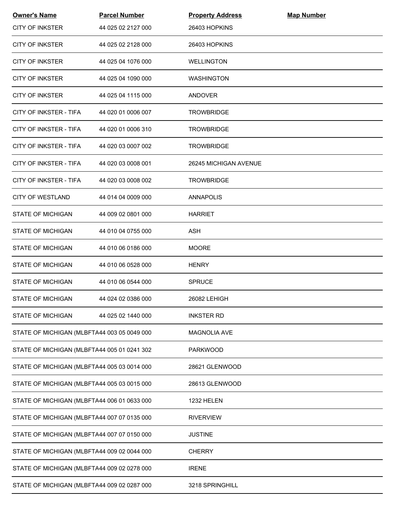| <b>Owner's Name</b>                         | <b>Parcel Number</b> | <b>Property Address</b> | <b>Map Number</b> |
|---------------------------------------------|----------------------|-------------------------|-------------------|
| <b>CITY OF INKSTER</b>                      | 44 025 02 2127 000   | 26403 HOPKINS           |                   |
| <b>CITY OF INKSTER</b>                      | 44 025 02 2128 000   | 26403 HOPKINS           |                   |
| CITY OF INKSTER                             | 44 025 04 1076 000   | <b>WELLINGTON</b>       |                   |
| <b>CITY OF INKSTER</b>                      | 44 025 04 1090 000   | <b>WASHINGTON</b>       |                   |
| <b>CITY OF INKSTER</b>                      | 44 025 04 1115 000   | <b>ANDOVER</b>          |                   |
| CITY OF INKSTER - TIFA                      | 44 020 01 0006 007   | <b>TROWBRIDGE</b>       |                   |
| CITY OF INKSTER - TIFA                      | 44 020 01 0006 310   | <b>TROWBRIDGE</b>       |                   |
| CITY OF INKSTER - TIFA                      | 44 020 03 0007 002   | <b>TROWBRIDGE</b>       |                   |
| CITY OF INKSTER - TIFA                      | 44 020 03 0008 001   | 26245 MICHIGAN AVENUE   |                   |
| <b>CITY OF INKSTER - TIFA</b>               | 44 020 03 0008 002   | <b>TROWBRIDGE</b>       |                   |
| <b>CITY OF WESTLAND</b>                     | 44 014 04 0009 000   | <b>ANNAPOLIS</b>        |                   |
| <b>STATE OF MICHIGAN</b>                    | 44 009 02 0801 000   | <b>HARRIET</b>          |                   |
| STATE OF MICHIGAN                           | 44 010 04 0755 000   | ASH                     |                   |
| STATE OF MICHIGAN                           | 44 010 06 0186 000   | <b>MOORE</b>            |                   |
| <b>STATE OF MICHIGAN</b>                    | 44 010 06 0528 000   | <b>HENRY</b>            |                   |
| <b>STATE OF MICHIGAN</b>                    | 44 010 06 0544 000   | <b>SPRUCE</b>           |                   |
| <b>STATE OF MICHIGAN</b>                    | 44 024 02 0386 000   | 26082 LEHIGH            |                   |
| <b>STATE OF MICHIGAN</b>                    | 44 025 02 1440 000   | <b>INKSTER RD</b>       |                   |
| STATE OF MICHIGAN (MLBFTA44 003 05 0049 000 |                      | MAGNOLIA AVE            |                   |
| STATE OF MICHIGAN (MLBFTA44 005 01 0241 302 |                      | <b>PARKWOOD</b>         |                   |
| STATE OF MICHIGAN (MLBFTA44 005 03 0014 000 |                      | 28621 GLENWOOD          |                   |
| STATE OF MICHIGAN (MLBFTA44 005 03 0015 000 |                      | 28613 GLENWOOD          |                   |
| STATE OF MICHIGAN (MLBFTA44 006 01 0633 000 |                      | 1232 HELEN              |                   |
| STATE OF MICHIGAN (MLBFTA44 007 07 0135 000 |                      | <b>RIVERVIEW</b>        |                   |
| STATE OF MICHIGAN (MLBFTA44 007 07 0150 000 |                      | <b>JUSTINE</b>          |                   |
| STATE OF MICHIGAN (MLBFTA44 009 02 0044 000 |                      | <b>CHERRY</b>           |                   |
| STATE OF MICHIGAN (MLBFTA44 009 02 0278 000 |                      | <b>IRENE</b>            |                   |
| STATE OF MICHIGAN (MLBFTA44 009 02 0287 000 |                      | 3218 SPRINGHILL         |                   |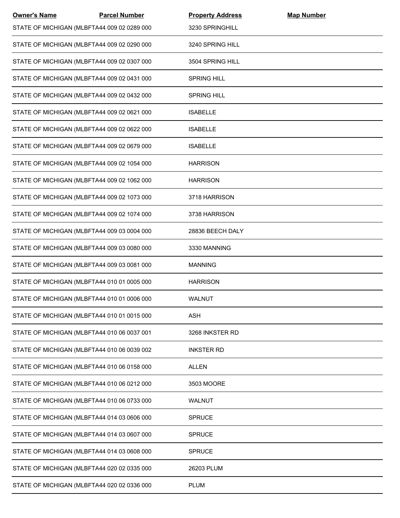| <b>Owner's Name</b> | <b>Parcel Number</b>                        | <b>Property Address</b> | <b>Map Number</b> |  |
|---------------------|---------------------------------------------|-------------------------|-------------------|--|
|                     | STATE OF MICHIGAN (MLBFTA44 009 02 0289 000 | 3230 SPRINGHILL         |                   |  |
|                     | STATE OF MICHIGAN (MLBFTA44 009 02 0290 000 | 3240 SPRING HILL        |                   |  |
|                     | STATE OF MICHIGAN (MLBFTA44 009 02 0307 000 | 3504 SPRING HILL        |                   |  |
|                     | STATE OF MICHIGAN (MLBFTA44 009 02 0431 000 | <b>SPRING HILL</b>      |                   |  |
|                     | STATE OF MICHIGAN (MLBFTA44 009 02 0432 000 | <b>SPRING HILL</b>      |                   |  |
|                     | STATE OF MICHIGAN (MLBFTA44 009 02 0621 000 | <b>ISABELLE</b>         |                   |  |
|                     | STATE OF MICHIGAN (MLBFTA44 009 02 0622 000 | <b>ISABELLE</b>         |                   |  |
|                     | STATE OF MICHIGAN (MLBFTA44 009 02 0679 000 | <b>ISABELLE</b>         |                   |  |
|                     | STATE OF MICHIGAN (MLBFTA44 009 02 1054 000 | <b>HARRISON</b>         |                   |  |
|                     | STATE OF MICHIGAN (MLBFTA44 009 02 1062 000 | <b>HARRISON</b>         |                   |  |
|                     | STATE OF MICHIGAN (MLBFTA44 009 02 1073 000 | 3718 HARRISON           |                   |  |
|                     | STATE OF MICHIGAN (MLBFTA44 009 02 1074 000 | 3738 HARRISON           |                   |  |
|                     | STATE OF MICHIGAN (MLBFTA44 009 03 0004 000 | 28836 BEECH DALY        |                   |  |
|                     | STATE OF MICHIGAN (MLBFTA44 009 03 0080 000 | 3330 MANNING            |                   |  |
|                     | STATE OF MICHIGAN (MLBFTA44 009 03 0081 000 | <b>MANNING</b>          |                   |  |
|                     | STATE OF MICHIGAN (MLBFTA44 010 01 0005 000 | <b>HARRISON</b>         |                   |  |
|                     | STATE OF MICHIGAN (MLBFTA44 010 01 0006 000 | WALNUT                  |                   |  |
|                     | STATE OF MICHIGAN (MLBFTA44 010 01 0015 000 | <b>ASH</b>              |                   |  |
|                     | STATE OF MICHIGAN (MLBFTA44 010 06 0037 001 | 3268 INKSTER RD         |                   |  |
|                     | STATE OF MICHIGAN (MLBFTA44 010 06 0039 002 | <b>INKSTER RD</b>       |                   |  |
|                     | STATE OF MICHIGAN (MLBFTA44 010 06 0158 000 | <b>ALLEN</b>            |                   |  |
|                     | STATE OF MICHIGAN (MLBFTA44 010 06 0212 000 | 3503 MOORE              |                   |  |
|                     | STATE OF MICHIGAN (MLBFTA44 010 06 0733 000 | <b>WALNUT</b>           |                   |  |
|                     | STATE OF MICHIGAN (MLBFTA44 014 03 0606 000 | <b>SPRUCE</b>           |                   |  |
|                     | STATE OF MICHIGAN (MLBFTA44 014 03 0607 000 | <b>SPRUCE</b>           |                   |  |
|                     | STATE OF MICHIGAN (MLBFTA44 014 03 0608 000 | <b>SPRUCE</b>           |                   |  |
|                     | STATE OF MICHIGAN (MLBFTA44 020 02 0335 000 | 26203 PLUM              |                   |  |
|                     | STATE OF MICHIGAN (MLBFTA44 020 02 0336 000 | <b>PLUM</b>             |                   |  |